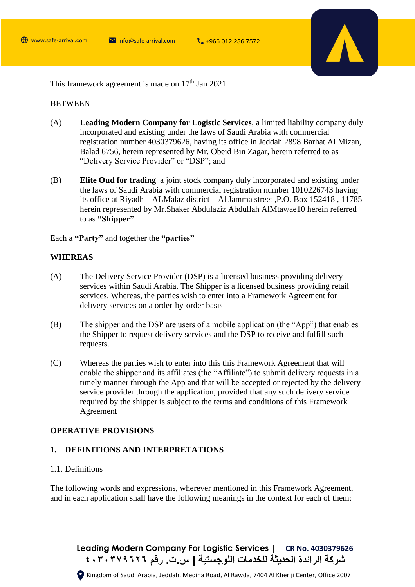

This framework agreement is made on  $17<sup>th</sup>$  Jan 2021

#### **BETWEEN**

- (A) **Leading Modern Company for Logistic Services**, a limited liability company duly incorporated and existing under the laws of Saudi Arabia with commercial registration number 4030379626, having its office in Jeddah 2898 Barhat Al Mizan, Balad 6756, herein represented by Mr. Obeid Bin Zagar, herein referred to as "Delivery Service Provider" or "DSP"; and
- (B) **Elite Oud for trading** a joint stock company duly incorporated and existing under the laws of Saudi Arabia with commercial registration number 1010226743 having its office at Riyadh – ALMalaz district – Al Jamma street ,P.O. Box 152418 , 11785 herein represented by Mr.Shaker Abdulaziz Abdullah AlMtawae10 herein referred to as **"Shipper"**

Each a **"Party"** and together the **"parties"**

# **WHEREAS**

- (A) The Delivery Service Provider (DSP) is a licensed business providing delivery services within Saudi Arabia. The Shipper is a licensed business providing retail services. Whereas, the parties wish to enter into a Framework Agreement for delivery services on a order-by-order basis
- (B) The shipper and the DSP are users of a mobile application (the "App") that enables the Shipper to request delivery services and the DSP to receive and fulfill such requests.
- (C) Whereas the parties wish to enter into this this Framework Agreement that will enable the shipper and its affiliates (the "Affiliate") to submit delivery requests in a timely manner through the App and that will be accepted or rejected by the delivery service provider through the application, provided that any such delivery service required by the shipper is subject to the terms and conditions of this Framework Agreement

#### **OPERATIVE PROVISIONS**

## **1. DEFINITIONS AND INTERPRETATIONS**

# 1.1. Definitions

The following words and expressions, wherever mentioned in this Framework Agreement, and in each application shall have the following meanings in the context for each of them:

**Leading Modern Company For Logistic Services | CR No. 4030379626 شركة الرائدة الحديثة للخدمات اللوجستية | س.ت. رقم ٤٠٣٠٣٧٩٦٢٦**

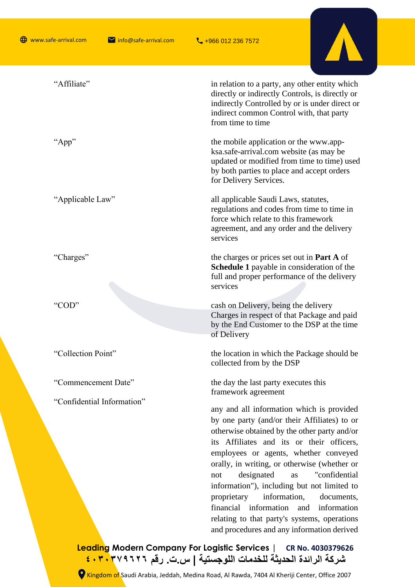

| "Affiliate"                | in relation to a party, any other entity which<br>directly or indirectly Controls, is directly or<br>indirectly Controlled by or is under direct or<br>indirect common Control with, that party<br>from time to time                                                                                                                                                                                                                                                                                                                                                 |
|----------------------------|----------------------------------------------------------------------------------------------------------------------------------------------------------------------------------------------------------------------------------------------------------------------------------------------------------------------------------------------------------------------------------------------------------------------------------------------------------------------------------------------------------------------------------------------------------------------|
| "App"                      | the mobile application or the www.app-<br>ksa.safe-arrival.com website (as may be<br>updated or modified from time to time) used<br>by both parties to place and accept orders<br>for Delivery Services.                                                                                                                                                                                                                                                                                                                                                             |
| "Applicable Law"           | all applicable Saudi Laws, statutes,<br>regulations and codes from time to time in<br>force which relate to this framework<br>agreement, and any order and the delivery<br>services                                                                                                                                                                                                                                                                                                                                                                                  |
| "Charges"                  | the charges or prices set out in <b>Part A</b> of<br><b>Schedule 1</b> payable in consideration of the<br>full and proper performance of the delivery<br>services                                                                                                                                                                                                                                                                                                                                                                                                    |
| "COD"                      | cash on Delivery, being the delivery<br>Charges in respect of that Package and paid<br>by the End Customer to the DSP at the time<br>of Delivery                                                                                                                                                                                                                                                                                                                                                                                                                     |
| "Collection Point"         | the location in which the Package should be<br>collected from by the DSP                                                                                                                                                                                                                                                                                                                                                                                                                                                                                             |
| "Commencement Date"        | the day the last party executes this<br>framework agreement                                                                                                                                                                                                                                                                                                                                                                                                                                                                                                          |
| "Confidential Information" | any and all information which is provided<br>by one party (and/or their Affiliates) to or<br>otherwise obtained by the other party and/or<br>its Affiliates and its or their officers,<br>employees or agents, whether conveyed<br>orally, in writing, or otherwise (whether or<br>designated<br>"confidential<br>as<br>not<br>information"), including but not limited to<br>proprietary<br>information,<br>documents,<br>financial information<br>and<br>information<br>relating to that party's systems, operations<br>and procedures and any information derived |
|                            | $\mathsf{Ext}$ Lamistic Carvians $\mathsf{L}$                                                                                                                                                                                                                                                                                                                                                                                                                                                                                                                        |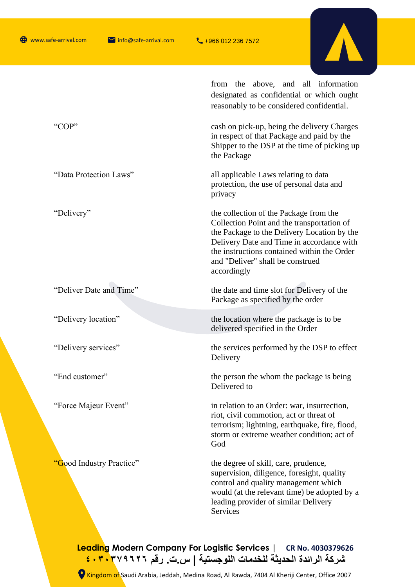

|                          | from the above, and all information<br>designated as confidential or which ought<br>reasonably to be considered confidential.                                                                                                                                                      |  |
|--------------------------|------------------------------------------------------------------------------------------------------------------------------------------------------------------------------------------------------------------------------------------------------------------------------------|--|
| "COP"                    | cash on pick-up, being the delivery Charges<br>in respect of that Package and paid by the<br>Shipper to the DSP at the time of picking up<br>the Package                                                                                                                           |  |
| "Data Protection Laws"   | all applicable Laws relating to data<br>protection, the use of personal data and<br>privacy                                                                                                                                                                                        |  |
| "Delivery"               | the collection of the Package from the<br>Collection Point and the transportation of<br>the Package to the Delivery Location by the<br>Delivery Date and Time in accordance with<br>the instructions contained within the Order<br>and "Deliver" shall be construed<br>accordingly |  |
| "Deliver Date and Time"  | the date and time slot for Delivery of the<br>Package as specified by the order                                                                                                                                                                                                    |  |
| "Delivery location"      | the location where the package is to be<br>delivered specified in the Order                                                                                                                                                                                                        |  |
| "Delivery services"      | the services performed by the DSP to effect<br>Delivery                                                                                                                                                                                                                            |  |
| "End customer"           | the person the whom the package is being<br>Delivered to                                                                                                                                                                                                                           |  |
| "Force Majeur Event"     | in relation to an Order: war, insurrection,<br>riot, civil commotion, act or threat of<br>terrorism; lightning, earthquake, fire, flood,<br>storm or extreme weather condition; act of<br>God                                                                                      |  |
| 'Good Industry Practice" | the degree of skill, care, prudence,<br>supervision, diligence, foresight, quality<br>control and quality management which<br>would (at the relevant time) be adopted by a<br>leading provider of similar Delivery<br>Services                                                     |  |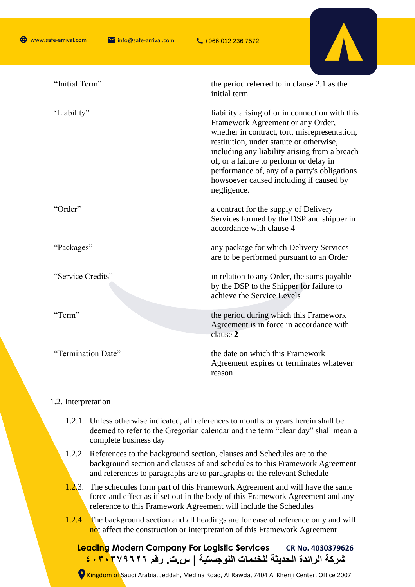

#### 1.2. Interpretation

- 1.2.1. Unless otherwise indicated, all references to months or years herein shall be deemed to refer to the Gregorian calendar and the term "clear day" shall mean a complete business day
- 1.2.2. References to the background section, clauses and Schedules are to the background section and clauses of and schedules to this Framework Agreement and references to paragraphs are to paragraphs of the relevant Schedule
- 1.2.3. The schedules form part of this Framework Agreement and will have the same force and effect as if set out in the body of this Framework Agreement and any reference to this Framework Agreement will include the Schedules
- 1.2.4. The background section and all headings are for ease of reference only and will not affect the construction or interpretation of this Framework Agreement

**Leading Modern Company For Logistic Services | CR No. 4030379626 شركة الرائدة الحديثة للخدمات اللوجستية | س.ت. رقم ٤٠٣٠٣٧٩٦٢٦**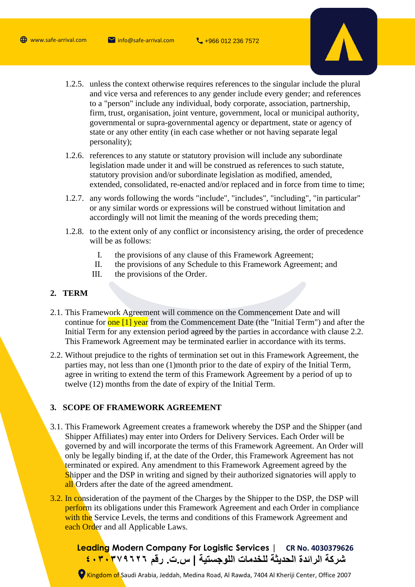

- 1.2.5. unless the context otherwise requires references to the singular include the plural and vice versa and references to any gender include every gender; and references to a "person" include any individual, body corporate, association, partnership, firm, trust, organisation, joint venture, government, local or municipal authority, governmental or supra-governmental agency or department, state or agency of state or any other entity (in each case whether or not having separate legal personality);
- 1.2.6. references to any statute or statutory provision will include any subordinate legislation made under it and will be construed as references to such statute, statutory provision and/or subordinate legislation as modified, amended, extended, consolidated, re-enacted and/or replaced and in force from time to time;
- 1.2.7. any words following the words "include", "includes", "including", "in particular" or any similar words or expressions will be construed without limitation and accordingly will not limit the meaning of the words preceding them;
- 1.2.8. to the extent only of any conflict or inconsistency arising, the order of precedence will be as follows:
	- I. the provisions of any clause of this Framework Agreement;
	- II. the provisions of any Schedule to this Framework Agreement; and
	- III. the provisions of the Order.

## **2. TERM**

- 2.1. This Framework Agreement will commence on the Commencement Date and will continue for **one [1] year** from the Commencement Date (the "Initial Term") and after the Initial Term for any extension period agreed by the parties in accordance with clause 2.2. This Framework Agreement may be terminated earlier in accordance with its terms.
- 2.2. Without prejudice to the rights of termination set out in this Framework Agreement, the parties may, not less than one (1)month prior to the date of expiry of the Initial Term, agree in writing to extend the term of this Framework Agreement by a period of up to twelve (12) months from the date of expiry of the Initial Term.

# **3. SCOPE OF FRAMEWORK AGREEMENT**

- 3.1. This Framework Agreement creates a framework whereby the DSP and the Shipper (and Shipper Affiliates) may enter into Orders for Delivery Services. Each Order will be governed by and will incorporate the terms of this Framework Agreement. An Order will only be legally binding if, at the date of the Order, this Framework Agreement has not terminated or expired. Any amendment to this Framework Agreement agreed by the Shipper and the DSP in writing and signed by their authorized signatories will apply to all Orders after the date of the agreed amendment.
- 3.2. In consideration of the payment of the Charges by the Shipper to the DSP, the DSP will perform its obligations under this Framework Agreement and each Order in compliance with the Service Levels, the terms and conditions of this Framework Agreement and each Order and all Applicable Laws.

**Leading Modern Company For Logistic Services | CR No. 4030379626 شركة الرائدة الحديثة للخدمات اللوجستية | س.ت. رقم ٤٠٣٠٣٧٩٦٢٦**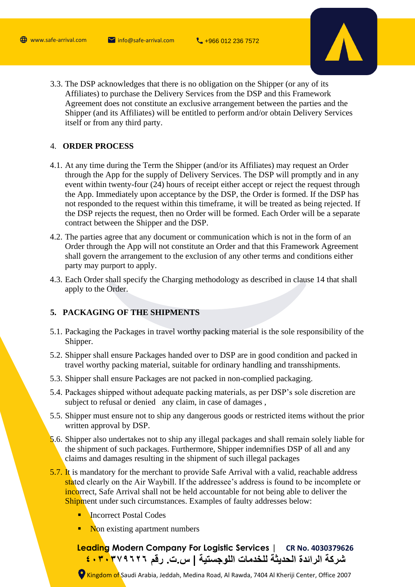

3.3. The DSP acknowledges that there is no obligation on the Shipper (or any of its Affiliates) to purchase the Delivery Services from the DSP and this Framework Agreement does not constitute an exclusive arrangement between the parties and the Shipper (and its Affiliates) will be entitled to perform and/or obtain Delivery Services itself or from any third party.

# 4. **ORDER PROCESS**

- 4.1. At any time during the Term the Shipper (and/or its Affiliates) may request an Order through the App for the supply of Delivery Services. The DSP will promptly and in any event within twenty-four (24) hours of receipt either accept or reject the request through the App. Immediately upon acceptance by the DSP, the Order is formed. If the DSP has not responded to the request within this timeframe, it will be treated as being rejected. If the DSP rejects the request, then no Order will be formed. Each Order will be a separate contract between the Shipper and the DSP.
- 4.2. The parties agree that any document or communication which is not in the form of an Order through the App will not constitute an Order and that this Framework Agreement shall govern the arrangement to the exclusion of any other terms and conditions either party may purport to apply.
- 4.3. Each Order shall specify the Charging methodology as described in clause 14 that shall apply to the Order.

# **5. PACKAGING OF THE SHIPMENTS**

- 5.1. Packaging the Packages in travel worthy packing material is the sole responsibility of the Shipper.
- 5.2. Shipper shall ensure Packages handed over to DSP are in good condition and packed in travel worthy packing material, suitable for ordinary handling and transshipments.
- 5.3. Shipper shall ensure Packages are not packed in non-complied packaging.
- 5.4. Packages shipped without adequate packing materials, as per DSP's sole discretion are subject to refusal or denied any claim, in case of damages ,
- 5.5. Shipper must ensure not to ship any dangerous goods or restricted items without the prior written approval by DSP.
- 5.6. Shipper also undertakes not to ship any illegal packages and shall remain solely liable for the shipment of such packages. Furthermore, Shipper indemnifies DSP of all and any claims and damages resulting in the shipment of such illegal packages
- 5.7. It is mandatory for the merchant to provide Safe Arrival with a valid, reachable address stated clearly on the Air Waybill. If the addressee's address is found to be incomplete or incorrect, Safe Arrival shall not be held accountable for not being able to deliver the Shipment under such circumstances. Examples of faulty addresses below:
	- **Incorrect Postal Codes**
	- Non existing apartment numbers

**Leading Modern Company For Logistic Services | CR No. 4030379626 شركة الرائدة الحديثة للخدمات اللوجستية | س.ت. رقم ٤٠٣٠٣٧٩٦٢٦**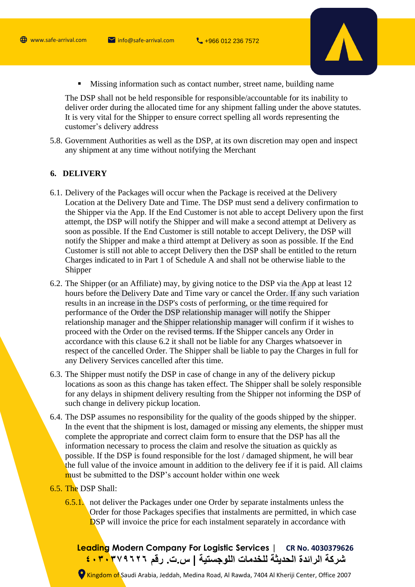

■ Missing information such as contact number, street name, building name

The DSP shall not be held responsible for responsible/accountable for its inability to deliver order during the allocated time for any shipment falling under the above statutes. It is very vital for the Shipper to ensure correct spelling all words representing the customer's delivery address

5.8. Government Authorities as well as the DSP, at its own discretion may open and inspect any shipment at any time without notifying the Merchant

#### **6. DELIVERY**

- 6.1. Delivery of the Packages will occur when the Package is received at the Delivery Location at the Delivery Date and Time. The DSP must send a delivery confirmation to the Shipper via the App. If the End Customer is not able to accept Delivery upon the first attempt, the DSP will notify the Shipper and will make a second attempt at Delivery as soon as possible. If the End Customer is still notable to accept Delivery, the DSP will notify the Shipper and make a third attempt at Delivery as soon as possible. If the End Customer is still not able to accept Delivery then the DSP shall be entitled to the return Charges indicated to in Part 1 of Schedule A and shall not be otherwise liable to the Shipper
- 6.2. The Shipper (or an Affiliate) may, by giving notice to the DSP via the App at least 12 hours before the Delivery Date and Time vary or cancel the Order. If any such variation results in an increase in the DSP's costs of performing, or the time required for performance of the Order the DSP relationship manager will notify the Shipper relationship manager and the Shipper relationship manager will confirm if it wishes to proceed with the Order on the revised terms. If the Shipper cancels any Order in accordance with this clause 6.2 it shall not be liable for any Charges whatsoever in respect of the cancelled Order. The Shipper shall be liable to pay the Charges in full for any Delivery Services cancelled after this time.
- 6.3. The Shipper must notify the DSP in case of change in any of the delivery pickup locations as soon as this change has taken effect. The Shipper shall be solely responsible for any delays in shipment delivery resulting from the Shipper not informing the DSP of such change in delivery pickup location.
- 6.4. The DSP assumes no responsibility for the quality of the goods shipped by the shipper. In the event that the shipment is lost, damaged or missing any elements, the shipper must complete the appropriate and correct claim form to ensure that the DSP has all the information necessary to process the claim and resolve the situation as quickly as possible. If the DSP is found responsible for the lost / damaged shipment, he will bear the full value of the invoice amount in addition to the delivery fee if it is paid. All claims must be submitted to the DSP's account holder within one week

# 6.5. The DSP Shall:

6.5.1. not deliver the Packages under one Order by separate instalments unless the Order for those Packages specifies that instalments are permitted, in which case DSP will invoice the price for each instalment separately in accordance with

**Leading Modern Company For Logistic Services | CR No. 4030379626 شركة الرائدة الحديثة للخدمات اللوجستية | س.ت. رقم ٤٠٣٠٣٧٩٦٢٦**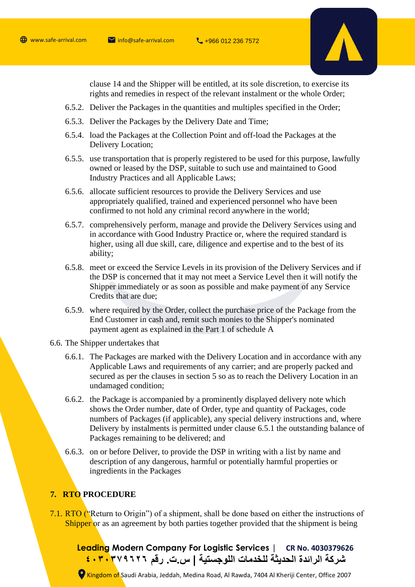

clause 14 and the Shipper will be entitled, at its sole discretion, to exercise its rights and remedies in respect of the relevant instalment or the whole Order;

- 6.5.2. Deliver the Packages in the quantities and multiples specified in the Order;
- 6.5.3. Deliver the Packages by the Delivery Date and Time;
- 6.5.4. load the Packages at the Collection Point and off-load the Packages at the Delivery Location;
- 6.5.5. use transportation that is properly registered to be used for this purpose, lawfully owned or leased by the DSP, suitable to such use and maintained to Good Industry Practices and all Applicable Laws;
- 6.5.6. allocate sufficient resources to provide the Delivery Services and use appropriately qualified, trained and experienced personnel who have been confirmed to not hold any criminal record anywhere in the world;
- 6.5.7. comprehensively perform, manage and provide the Delivery Services using and in accordance with Good Industry Practice or, where the required standard is higher, using all due skill, care, diligence and expertise and to the best of its ability;
- 6.5.8. meet or exceed the Service Levels in its provision of the Delivery Services and if the DSP is concerned that it may not meet a Service Level then it will notify the Shipper immediately or as soon as possible and make payment of any Service Credits that are due;
- 6.5.9. where required by the Order, collect the purchase price of the Package from the End Customer in cash and, remit such monies to the Shipper's nominated payment agent as explained in the Part 1 of schedule A
- 6.6. The Shipper undertakes that
	- 6.6.1. The Packages are marked with the Delivery Location and in accordance with any Applicable Laws and requirements of any carrier; and are properly packed and secured as per the clauses in section 5 so as to reach the Delivery Location in an undamaged condition;
	- 6.6.2. the Package is accompanied by a prominently displayed delivery note which shows the Order number, date of Order, type and quantity of Packages, code numbers of Packages (if applicable), any special delivery instructions and, where Delivery by instalments is permitted under clause 6.5.1 the outstanding balance of Packages remaining to be delivered; and
	- 6.6.3. on or before Deliver, to provide the DSP in writing with a list by name and description of any dangerous, harmful or potentially harmful properties or ingredients in the Packages

# **7. RTO PROCEDURE**

7.1. RTO ("Return to Origin") of a shipment, shall be done based on either the instructions of Shipper or as an agreement by both parties together provided that the shipment is being

**Leading Modern Company For Logistic Services | CR No. 4030379626 شركة الرائدة الحديثة للخدمات اللوجستية | س.ت. رقم ٤٠٣٠٣٧٩٦٢٦**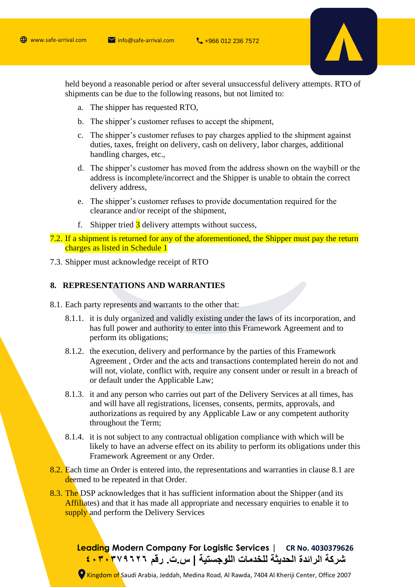

held beyond a reasonable period or after several unsuccessful delivery attempts. RTO of shipments can be due to the following reasons, but not limited to:

- a. The shipper has requested RTO,
- b. The shipper's customer refuses to accept the shipment,
- c. The shipper's customer refuses to pay charges applied to the shipment against duties, taxes, freight on delivery, cash on delivery, labor charges, additional handling charges, etc.,
- d. The shipper's customer has moved from the address shown on the waybill or the address is incomplete/incorrect and the Shipper is unable to obtain the correct delivery address,
- e. The shipper's customer refuses to provide documentation required for the clearance and/or receipt of the shipment,
- f. Shipper tried  $\frac{3}{5}$  delivery attempts without success,

7.2. If a shipment is returned for any of the aforementioned, the Shipper must pay the return charges as listed in Schedule 1

7.3. Shipper must acknowledge receipt of RTO

#### **8. REPRESENTATIONS AND WARRANTIES**

- 8.1. Each party represents and warrants to the other that:
	- 8.1.1. it is duly organized and validly existing under the laws of its incorporation, and has full power and authority to enter into this Framework Agreement and to perform its obligations;
	- 8.1.2. the execution, delivery and performance by the parties of this Framework Agreement , Order and the acts and transactions contemplated herein do not and will not, violate, conflict with, require any consent under or result in a breach of or default under the Applicable Law;
	- 8.1.3. it and any person who carries out part of the Delivery Services at all times, has and will have all registrations, licenses, consents, permits, approvals, and authorizations as required by any Applicable Law or any competent authority throughout the Term;
	- 8.1.4. it is not subject to any contractual obligation compliance with which will be likely to have an adverse effect on its ability to perform its obligations under this Framework Agreement or any Order.
- 8.2. Each time an Order is entered into, the representations and warranties in clause 8.1 are deemed to be repeated in that Order.
- 8.3. The DSP acknowledges that it has sufficient information about the Shipper (and its Affiliates) and that it has made all appropriate and necessary enquiries to enable it to supply and perform the Delivery Services

**Leading Modern Company For Logistic Services | CR No. 4030379626 شركة الرائدة الحديثة للخدمات اللوجستية | س.ت. رقم ٤٠٣٠٣٧٩٦٢٦**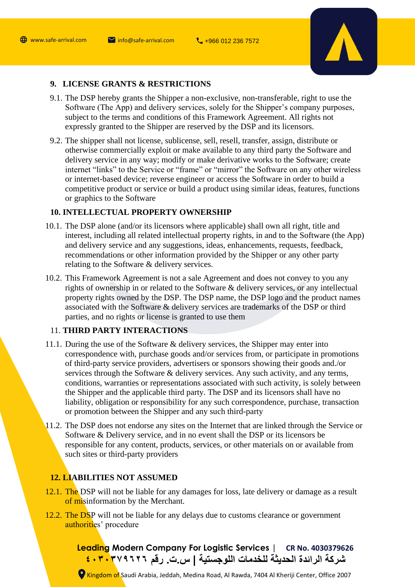

# **9. LICENSE GRANTS & RESTRICTIONS**

- 9.1. The DSP hereby grants the Shipper a non-exclusive, non-transferable, right to use the Software (The App) and delivery services, solely for the Shipper's company purposes, subject to the terms and conditions of this Framework Agreement. All rights not expressly granted to the Shipper are reserved by the DSP and its licensors.
- 9.2. The shipper shall not license, sublicense, sell, resell, transfer, assign, distribute or otherwise commercially exploit or make available to any third party the Software and delivery service in any way; modify or make derivative works to the Software; create internet "links" to the Service or "frame" or "mirror" the Software on any other wireless or internet-based device; reverse engineer or access the Software in order to build a competitive product or service or build a product using similar ideas, features, functions or graphics to the Software

# **10. INTELLECTUAL PROPERTY OWNERSHIP**

- 10.1. The DSP alone (and/or its licensors where applicable) shall own all right, title and interest, including all related intellectual property rights, in and to the Software (the App) and delivery service and any suggestions, ideas, enhancements, requests, feedback, recommendations or other information provided by the Shipper or any other party relating to the Software & delivery services.
- 10.2. This Framework Agreement is not a sale Agreement and does not convey to you any rights of ownership in or related to the Software & delivery services, or any intellectual property rights owned by the DSP. The DSP name, the DSP logo and the product names associated with the Software & delivery services are trademarks of the DSP or third parties, and no rights or license is granted to use them

# 11. **THIRD PARTY INTERACTIONS**

- 11.1. During the use of the Software & delivery services, the Shipper may enter into correspondence with, purchase goods and/or services from, or participate in promotions of third-party service providers, advertisers or sponsors showing their goods and./or services through the Software & delivery services. Any such activity, and any terms, conditions, warranties or representations associated with such activity, is solely between the Shipper and the applicable third party. The DSP and its licensors shall have no liability, obligation or responsibility for any such correspondence, purchase, transaction or promotion between the Shipper and any such third-party
- 11.2. The DSP does not endorse any sites on the Internet that are linked through the Service or Software & Delivery service, and in no event shall the DSP or its licensors be responsible for any content, products, services, or other materials on or available from such sites or third-party providers

# **12. LIABILITIES NOT ASSUMED**

- 12.1. The DSP will not be liable for any damages for loss, late delivery or damage as a result of misinformation by the Merchant.
- 12.2. The DSP will not be liable for any delays due to customs clearance or government authorities' procedure

**Leading Modern Company For Logistic Services | CR No. 4030379626 شركة الرائدة الحديثة للخدمات اللوجستية | س.ت. رقم ٤٠٣٠٣٧٩٦٢٦**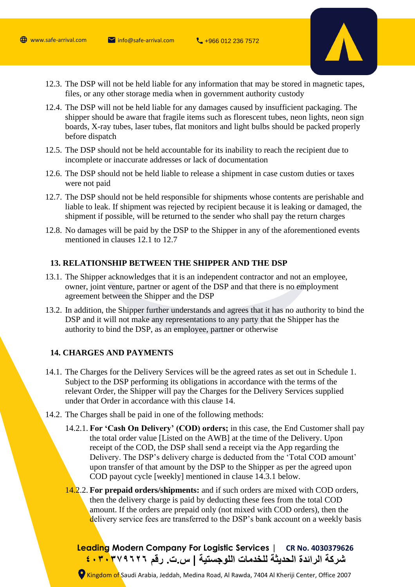

- 12.3. The DSP will not be held liable for any information that may be stored in magnetic tapes, files, or any other storage media when in government authority custody
- 12.4. The DSP will not be held liable for any damages caused by insufficient packaging. The shipper should be aware that fragile items such as florescent tubes, neon lights, neon sign boards, X-ray tubes, laser tubes, flat monitors and light bulbs should be packed properly before dispatch
- 12.5. The DSP should not be held accountable for its inability to reach the recipient due to incomplete or inaccurate addresses or lack of documentation
- 12.6. The DSP should not be held liable to release a shipment in case custom duties or taxes were not paid
- 12.7. The DSP should not be held responsible for shipments whose contents are perishable and liable to leak. If shipment was rejected by recipient because it is leaking or damaged, the shipment if possible, will be returned to the sender who shall pay the return charges
- 12.8. No damages will be paid by the DSP to the Shipper in any of the aforementioned events mentioned in clauses 12.1 to 12.7

#### **13. RELATIONSHIP BETWEEN THE SHIPPER AND THE DSP**

- 13.1. The Shipper acknowledges that it is an independent contractor and not an employee, owner, joint venture, partner or agent of the DSP and that there is no employment agreement between the Shipper and the DSP
- 13.2. In addition, the Shipper further understands and agrees that it has no authority to bind the DSP and it will not make any representations to any party that the Shipper has the authority to bind the DSP, as an employee, partner or otherwise

#### **14. CHARGES AND PAYMENTS**

- 14.1. The Charges for the Delivery Services will be the agreed rates as set out in Schedule 1. Subject to the DSP performing its obligations in accordance with the terms of the relevant Order, the Shipper will pay the Charges for the Delivery Services supplied under that Order in accordance with this clause 14.
- 14.2. The Charges shall be paid in one of the following methods:
	- 14.2.1. **For 'Cash On Delivery' (COD) orders;** in this case, the End Customer shall pay the total order value [Listed on the AWB] at the time of the Delivery. Upon receipt of the COD, the DSP shall send a receipt via the App regarding the Delivery. The DSP's delivery charge is deducted from the 'Total COD amount' upon transfer of that amount by the DSP to the Shipper as per the agreed upon COD payout cycle [weekly] mentioned in clause 14.3.1 below.
	- 14.2.2. **For prepaid orders/shipments:** and if such orders are mixed with COD orders, then the delivery charge is paid by deducting these fees from the total COD amount. If the orders are prepaid only (not mixed with COD orders), then the delivery service fees are transferred to the DSP's bank account on a weekly basis

**Leading Modern Company For Logistic Services | CR No. 4030379626 شركة الرائدة الحديثة للخدمات اللوجستية | س.ت. رقم ٤٠٣٠٣٧٩٦٢٦**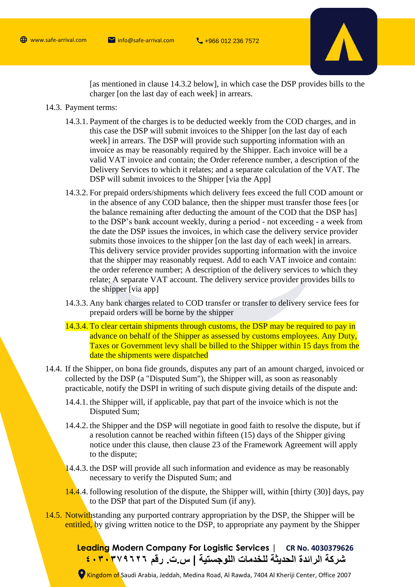

[as mentioned in clause 14.3.2 below], in which case the DSP provides bills to the charger [on the last day of each week] in arrears.

- 14.3. Payment terms:
	- 14.3.1. Payment of the charges is to be deducted weekly from the COD charges, and in this case the DSP will submit invoices to the Shipper [on the last day of each week] in arrears. The DSP will provide such supporting information with an invoice as may be reasonably required by the Shipper. Each invoice will be a valid VAT invoice and contain; the Order reference number, a description of the Delivery Services to which it relates; and a separate calculation of the VAT. The DSP will submit invoices to the Shipper [via the App]
	- 14.3.2. For prepaid orders/shipments which delivery fees exceed the full COD amount or in the absence of any COD balance, then the shipper must transfer those fees [or the balance remaining after deducting the amount of the COD that the DSP has] to the DSP's bank account weekly, during a period - not exceeding - a week from the date the DSP issues the invoices, in which case the delivery service provider submits those invoices to the shipper [on the last day of each week] in arrears. This delivery service provider provides supporting information with the invoice that the shipper may reasonably request. Add to each VAT invoice and contain: the order reference number; A description of the delivery services to which they relate; A separate VAT account. The delivery service provider provides bills to the shipper [via app]
	- 14.3.3. Any bank charges related to COD transfer or transfer to delivery service fees for prepaid orders will be borne by the shipper
	- 14.3.4. To clear certain shipments through customs, the DSP may be required to pay in advance on behalf of the Shipper as assessed by customs employees. Any Duty, Taxes or Government levy shall be billed to the Shipper within 15 days from the date the shipments were dispatched
- 14.4. If the Shipper, on bona fide grounds, disputes any part of an amount charged, invoiced or collected by the DSP (a "Disputed Sum"), the Shipper will, as soon as reasonably practicable, notify the DSPI in writing of such dispute giving details of the dispute and:
	- 14.4.1. the Shipper will, if applicable, pay that part of the invoice which is not the Disputed Sum;
	- 14.4.2. the Shipper and the DSP will negotiate in good faith to resolve the dispute, but if a resolution cannot be reached within fifteen (15) days of the Shipper giving notice under this clause, then clause 23 of the Framework Agreement will apply to the dispute;
	- 14.4.3. the DSP will provide all such information and evidence as may be reasonably necessary to verify the Disputed Sum; and
	- 14.4.4. following resolution of the dispute, the Shipper will, within [thirty (30)] days, pay to the DSP that part of the Disputed Sum (if any).
- 14.5. Notwithstanding any purported contrary appropriation by the DSP, the Shipper will be entitled, by giving written notice to the DSP, to appropriate any payment by the Shipper

**Leading Modern Company For Logistic Services | CR No. 4030379626 شركة الرائدة الحديثة للخدمات اللوجستية | س.ت. رقم ٤٠٣٠٣٧٩٦٢٦**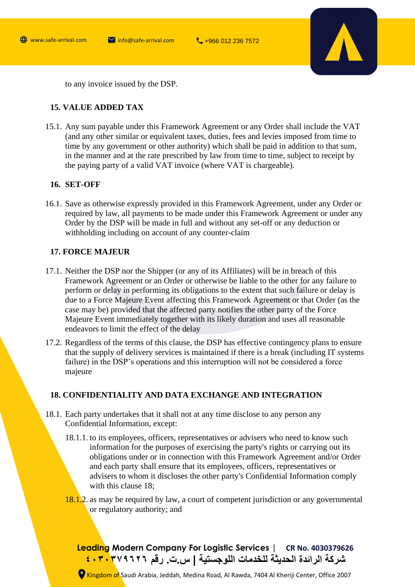

to any invoice issued by the DSP.

# **15. VALUE ADDED TAX**

15.1. Any sum payable under this Framework Agreement or any Order shall include the VAT (and any other similar or equivalent taxes, duties, fees and levies imposed from time to time by any government or other authority) which shall be paid in addition to that sum, in the manner and at the rate prescribed by law from time to time, subject to receipt by the paying party of a valid VAT invoice (where VAT is chargeable).

### **16. SET-OFF**

16.1. Save as otherwise expressly provided in this Framework Agreement, under any Order or required by law, all payments to be made under this Framework Agreement or under any Order by the DSP will be made in full and without any set-off or any deduction or withholding including on account of any counter-claim

# **17. FORCE MAJEUR**

- 17.1. Neither the DSP nor the Shipper (or any of its Affiliates) will be in breach of this Framework Agreement or an Order or otherwise be liable to the other for any failure to perform or delay in performing its obligations to the extent that such failure or delay is due to a Force Majeure Event affecting this Framework Agreement or that Order (as the case may be) provided that the affected party notifies the other party of the Force Majeure Event immediately together with its likely duration and uses all reasonable endeavors to limit the effect of the delay
- 17.2. Regardless of the terms of this clause, the DSP has effective contingency plans to ensure that the supply of delivery services is maintained if there is a break (including IT systems failure) in the DSP's operations and this interruption will not be considered a force majeure

# **18. CONFIDENTIALITY AND DATA EXCHANGE AND INTEGRATION**

- 18.1. Each party undertakes that it shall not at any time disclose to any person any Confidential Information, except:
	- 18.1.1. to its employees, officers, representatives or advisers who need to know such information for the purposes of exercising the party's rights or carrying out its obligations under or in connection with this Framework Agreement and/or Order and each party shall ensure that its employees, officers, representatives or advisers to whom it discloses the other party's Confidential Information comply with this clause 18;
	- 18.1.2. as may be required by law, a court of competent jurisdiction or any governmental or regulatory authority; and

**Leading Modern Company For Logistic Services | CR No. 4030379626 شركة الرائدة الحديثة للخدمات اللوجستية | س.ت. رقم ٤٠٣٠٣٧٩٦٢٦**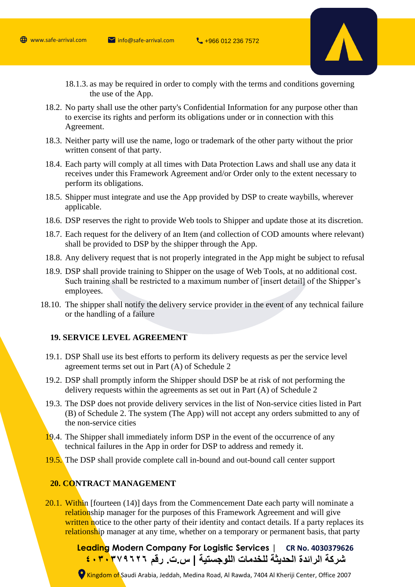

- 18.1.3. as may be required in order to comply with the terms and conditions governing the use of the App.
- 18.2. No party shall use the other party's Confidential Information for any purpose other than to exercise its rights and perform its obligations under or in connection with this Agreement.
- 18.3. Neither party will use the name, logo or trademark of the other party without the prior written consent of that party.
- 18.4. Each party will comply at all times with Data Protection Laws and shall use any data it receives under this Framework Agreement and/or Order only to the extent necessary to perform its obligations.
- 18.5. Shipper must integrate and use the App provided by DSP to create waybills, wherever applicable.
- 18.6. DSP reserves the right to provide Web tools to Shipper and update those at its discretion.
- 18.7. Each request for the delivery of an Item (and collection of COD amounts where relevant) shall be provided to DSP by the shipper through the App.
- 18.8. Any delivery request that is not properly integrated in the App might be subject to refusal
- 18.9. DSP shall provide training to Shipper on the usage of Web Tools, at no additional cost. Such training shall be restricted to a maximum number of [insert detail] of the Shipper's employees.
- 18.10. The shipper shall notify the delivery service provider in the event of any technical failure or the handling of a failure

#### **19. SERVICE LEVEL AGREEMENT**

- 19.1. DSP Shall use its best efforts to perform its delivery requests as per the service level agreement terms set out in Part (A) of Schedule 2
- 19.2. DSP shall promptly inform the Shipper should DSP be at risk of not performing the delivery requests within the agreements as set out in Part (A) of Schedule 2
- 19.3. The DSP does not provide delivery services in the list of Non-service cities listed in Part (B) of Schedule 2. The system (The App) will not accept any orders submitted to any of the non-service cities
- 19.4. The Shipper shall immediately inform DSP in the event of the occurrence of any technical failures in the App in order for DSP to address and remedy it.
- 19.5. The DSP shall provide complete call in-bound and out-bound call center support

# **20. CONTRACT MANAGEMENT**

20.1. Within [fourteen (14)] days from the Commencement Date each party will nominate a relationship manager for the purposes of this Framework Agreement and will give written notice to the other party of their identity and contact details. If a party replaces its relationship manager at any time, whether on a temporary or permanent basis, that party

**Leading Modern Company For Logistic Services | CR No. 4030379626 شركة الرائدة الحديثة للخدمات اللوجستية | س.ت. رقم ٤٠٣٠٣٧٩٦٢٦**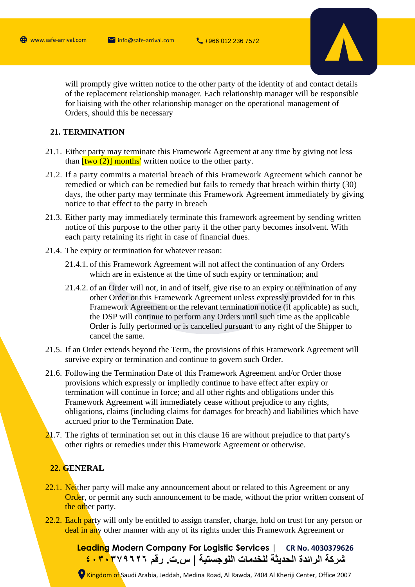

will promptly give written notice to the other party of the identity of and contact details of the replacement relationship manager. Each relationship manager will be responsible for liaising with the other relationship manager on the operational management of Orders, should this be necessary

## **21. TERMINATION**

- 21.1. Either party may terminate this Framework Agreement at any time by giving not less than  $[two (2)]$  months' written notice to the other party.
- 21.2. If a party commits a material breach of this Framework Agreement which cannot be remedied or which can be remedied but fails to remedy that breach within thirty (30) days, the other party may terminate this Framework Agreement immediately by giving notice to that effect to the party in breach
- 21.3. Either party may immediately terminate this framework agreement by sending written notice of this purpose to the other party if the other party becomes insolvent. With each party retaining its right in case of financial dues.
- 21.4. The expiry or termination for whatever reason:
	- 21.4.1. of this Framework Agreement will not affect the continuation of any Orders which are in existence at the time of such expiry or termination; and
	- 21.4.2. of an Order will not, in and of itself, give rise to an expiry or termination of any other Order or this Framework Agreement unless expressly provided for in this Framework Agreement or the relevant termination notice (if applicable) as such, the DSP will continue to perform any Orders until such time as the applicable Order is fully performed or is cancelled pursuant to any right of the Shipper to cancel the same.
- 21.5. If an Order extends beyond the Term, the provisions of this Framework Agreement will survive expiry or termination and continue to govern such Order.
- 21.6. Following the Termination Date of this Framework Agreement and/or Order those provisions which expressly or impliedly continue to have effect after expiry or termination will continue in force; and all other rights and obligations under this Framework Agreement will immediately cease without prejudice to any rights, obligations, claims (including claims for damages for breach) and liabilities which have accrued prior to the Termination Date.
- 21.7. The rights of termination set out in this clause 16 are without prejudice to that party's other rights or remedies under this Framework Agreement or otherwise.

## **22. GENERAL**

- 22.1. Neither party will make any announcement about or related to this Agreement or any **Order**, or permit any such announcement to be made, without the prior written consent of the other party.
- 22.2. Each party will only be entitled to assign transfer, charge, hold on trust for any person or deal in any other manner with any of its rights under this Framework Agreement or

**Leading Modern Company For Logistic Services | CR No. 4030379626 شركة الرائدة الحديثة للخدمات اللوجستية | س.ت. رقم ٤٠٣٠٣٧٩٦٢٦**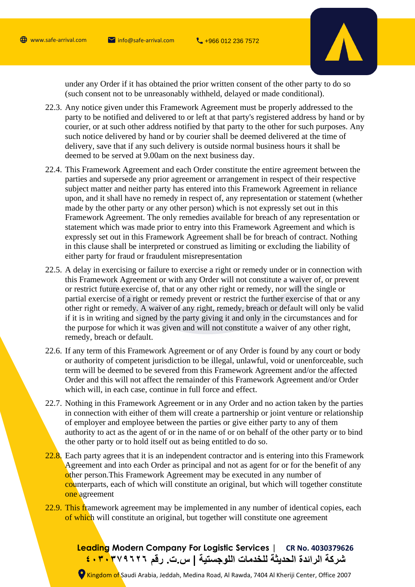

under any Order if it has obtained the prior written consent of the other party to do so (such consent not to be unreasonably withheld, delayed or made conditional).

- 22.3. Any notice given under this Framework Agreement must be properly addressed to the party to be notified and delivered to or left at that party's registered address by hand or by courier, or at such other address notified by that party to the other for such purposes. Any such notice delivered by hand or by courier shall be deemed delivered at the time of delivery, save that if any such delivery is outside normal business hours it shall be deemed to be served at 9.00am on the next business day.
- 22.4. This Framework Agreement and each Order constitute the entire agreement between the parties and supersede any prior agreement or arrangement in respect of their respective subject matter and neither party has entered into this Framework Agreement in reliance upon, and it shall have no remedy in respect of, any representation or statement (whether made by the other party or any other person) which is not expressly set out in this Framework Agreement. The only remedies available for breach of any representation or statement which was made prior to entry into this Framework Agreement and which is expressly set out in this Framework Agreement shall be for breach of contract. Nothing in this clause shall be interpreted or construed as limiting or excluding the liability of either party for fraud or fraudulent misrepresentation
- 22.5. A delay in exercising or failure to exercise a right or remedy under or in connection with this Framework Agreement or with any Order will not constitute a waiver of, or prevent or restrict future exercise of, that or any other right or remedy, nor will the single or partial exercise of a right or remedy prevent or restrict the further exercise of that or any other right or remedy. A waiver of any right, remedy, breach or default will only be valid if it is in writing and signed by the party giving it and only in the circumstances and for the purpose for which it was given and will not constitute a waiver of any other right, remedy, breach or default.
- 22.6. If any term of this Framework Agreement or of any Order is found by any court or body or authority of competent jurisdiction to be illegal, unlawful, void or unenforceable, such term will be deemed to be severed from this Framework Agreement and/or the affected Order and this will not affect the remainder of this Framework Agreement and/or Order which will, in each case, continue in full force and effect.
- 22.7. Nothing in this Framework Agreement or in any Order and no action taken by the parties in connection with either of them will create a partnership or joint venture or relationship of employer and employee between the parties or give either party to any of them authority to act as the agent of or in the name of or on behalf of the other party or to bind the other party or to hold itself out as being entitled to do so.
- 22.8. Each party agrees that it is an independent contractor and is entering into this Framework Agreement and into each Order as principal and not as agent for or for the benefit of any other person.This Framework Agreement may be executed in any number of counterparts, each of which will constitute an original, but which will together constitute one agreement
- 22.9. This framework agreement may be implemented in any number of identical copies, each of which will constitute an original, but together will constitute one agreement

**Leading Modern Company For Logistic Services | CR No. 4030379626 شركة الرائدة الحديثة للخدمات اللوجستية | س.ت. رقم ٤٠٣٠٣٧٩٦٢٦**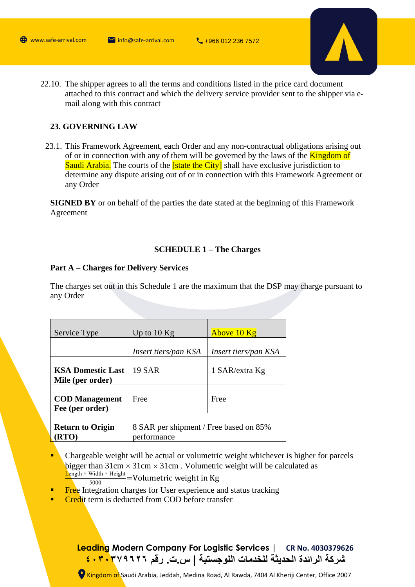

22.10. The shipper agrees to all the terms and conditions listed in the price card document attached to this contract and which the delivery service provider sent to the shipper via email along with this contract

# **23. GOVERNING LAW**

23.1. This Framework Agreement, each Order and any non-contractual obligations arising out of or in connection with any of them will be governed by the laws of the **Kingdom of** Saudi Arabia. The courts of the **[state the City]** shall have exclusive jurisdiction to determine any dispute arising out of or in connection with this Framework Agreement or any Order

**SIGNED BY** or on behalf of the parties the date stated at the beginning of this Framework Agreement

#### **SCHEDULE 1 – The Charges**

#### **Part A – Charges for Delivery Services**

The charges set out in this Schedule 1 are the maximum that the DSP may charge pursuant to any Order

| Service Type                                 | Up to $10$ Kg                                         | Above 10 Kg          |
|----------------------------------------------|-------------------------------------------------------|----------------------|
|                                              | Insert tiers/pan KSA                                  | Insert tiers/pan KSA |
| <b>KSA Domestic Last</b><br>Mile (per order) | 19 SAR                                                | 1 SAR/extra Kg       |
| <b>COD</b> Management<br>Fee (per order)     | Free                                                  | Free                 |
| <b>Return to Origin</b><br>RTO)              | 8 SAR per shipment / Free based on 85%<br>performance |                      |

- Chargeable weight will be actual or volumetric weight whichever is higher for parcels bigger than  $31 \text{cm} \times 31 \text{cm} \times 31 \text{cm}$ . Volumetric weight will be calculated as  $L$ ength × Width × Height  $\frac{W \text{tan} \times \text{rCigm}}{5000}$  =Volumetric weight in Kg
- **Exercise** Integration charges for User experience and status tracking
- **Credit term is deducted from COD before transfer**

**Leading Modern Company For Logistic Services | CR No. 4030379626 شركة الرائدة الحديثة للخدمات اللوجستية | س.ت. رقم ٤٠٣٠٣٧٩٦٢٦**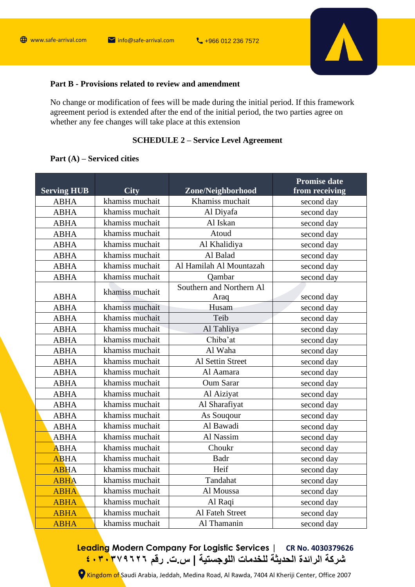

# **Part B - Provisions related to review and amendment**

No change or modification of fees will be made during the initial period. If this framework agreement period is extended after the end of the initial period, the two parties agree on whether any fee changes will take place at this extension

# **SCHEDULE 2 – Service Level Agreement**

# **Part (A) – Serviced cities**

| <b>Serving HUB</b> | <b>City</b>     | Zone/Neighborhood                | <b>Promise date</b><br>from receiving |
|--------------------|-----------------|----------------------------------|---------------------------------------|
| <b>ABHA</b>        | khamiss muchait | Khamiss muchait                  | second day                            |
| <b>ABHA</b>        | khamiss muchait | Al Diyafa                        | second day                            |
| <b>ABHA</b>        | khamiss muchait | Al Iskan                         | second day                            |
| <b>ABHA</b>        | khamiss muchait | Atoud                            | second day                            |
| <b>ABHA</b>        | khamiss muchait | Al Khalidiya                     | second day                            |
| <b>ABHA</b>        | khamiss muchait | Al Balad                         | second day                            |
| <b>ABHA</b>        | khamiss muchait | Al Hamilah Al Mountazah          | second day                            |
| <b>ABHA</b>        | khamiss muchait | Qambar                           | second day                            |
| <b>ABHA</b>        | khamiss muchait | Southern and Northern Al<br>Araq | second day                            |
| <b>ABHA</b>        | khamiss muchait | Husam                            | second day                            |
| <b>ABHA</b>        | khamiss muchait | Teib                             | second day                            |
| <b>ABHA</b>        | khamiss muchait | Al Tahliya                       | second day                            |
| <b>ABHA</b>        | khamiss muchait | Chiba'at                         | second day                            |
| <b>ABHA</b>        | khamiss muchait | Al Waha                          | second day                            |
| <b>ABHA</b>        | khamiss muchait | Al Settin Street                 | second day                            |
| <b>ABHA</b>        | khamiss muchait | Al Aamara                        | second day                            |
| <b>ABHA</b>        | khamiss muchait | <b>Oum Sarar</b>                 | second day                            |
| <b>ABHA</b>        | khamiss muchait | Al Aiziyat                       | second day                            |
| <b>ABHA</b>        | khamiss muchait | Al Sharafiyat                    | second day                            |
| <b>ABHA</b>        | khamiss muchait | As Sougour                       | second day                            |
| <b>ABHA</b>        | khamiss muchait | Al Bawadi                        | second day                            |
| <b>ABHA</b>        | khamiss muchait | Al Nassim                        | second day                            |
| <b>ABHA</b>        | khamiss muchait | Choukr                           | second day                            |
| <b>ABHA</b>        | khamiss muchait | <b>Badr</b>                      | second day                            |
| <b>ABHA</b>        | khamiss muchait | Heif                             | second day                            |
| <b>ABHA</b>        | khamiss muchait | Tandahat                         | second day                            |
| <b>ABHA</b>        | khamiss muchait | Al Moussa                        | second day                            |
| <b>ABHA</b>        | khamiss muchait | Al Raqi                          | second day                            |
| <b>ABHA</b>        | khamiss muchait | Al Fateh Street                  | second day                            |
| <b>ABHA</b>        | khamiss muchait | Al Thamanin                      | second day                            |

# **Leading Modern Company For Logistic Services | CR No. 4030379626 شركة الرائدة الحديثة للخدمات اللوجستية | س.ت. رقم ٤٠٣٠٣٧٩٦٢٦**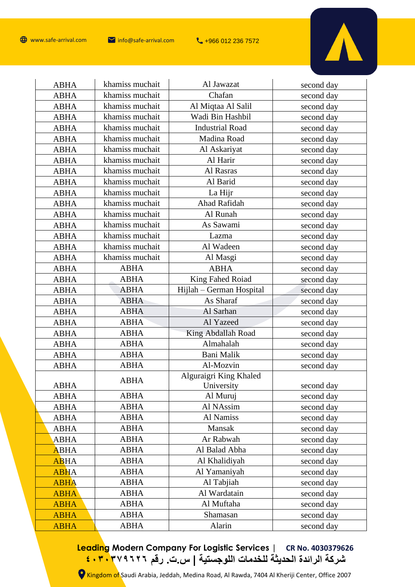

| <b>ABHA</b> | khamiss muchait | Al Jawazat               | second day |
|-------------|-----------------|--------------------------|------------|
| <b>ABHA</b> | khamiss muchait | Chafan                   | second day |
| <b>ABHA</b> | khamiss muchait | Al Miqtaa Al Salil       | second day |
| <b>ABHA</b> | khamiss muchait | Wadi Bin Hashbil         | second day |
| <b>ABHA</b> | khamiss muchait | <b>Industrial Road</b>   | second day |
| <b>ABHA</b> | khamiss muchait | Madina Road              | second day |
| <b>ABHA</b> | khamiss muchait | Al Askariyat             | second day |
| <b>ABHA</b> | khamiss muchait | Al Harir                 | second day |
| <b>ABHA</b> | khamiss muchait | Al Rasras                | second day |
| <b>ABHA</b> | khamiss muchait | Al Barid                 | second day |
| <b>ABHA</b> | khamiss muchait | La Hijr                  | second day |
| <b>ABHA</b> | khamiss muchait | Ahad Rafidah             | second day |
| <b>ABHA</b> | khamiss muchait | Al Runah                 | second day |
| <b>ABHA</b> | khamiss muchait | As Sawami                | second day |
| <b>ABHA</b> | khamiss muchait | Lazma                    | second day |
| <b>ABHA</b> | khamiss muchait | Al Wadeen                | second day |
| <b>ABHA</b> | khamiss muchait | Al Masgi                 | second day |
| <b>ABHA</b> | <b>ABHA</b>     | <b>ABHA</b>              | second day |
| <b>ABHA</b> | <b>ABHA</b>     | King Fahed Roiad         | second day |
| <b>ABHA</b> | <b>ABHA</b>     | Hijlah – German Hospital | second day |
| <b>ABHA</b> | <b>ABHA</b>     | As Sharaf                | second day |
| <b>ABHA</b> | <b>ABHA</b>     | Al Sarhan                | second day |
| <b>ABHA</b> | <b>ABHA</b>     | Al Yazeed                | second day |
| <b>ABHA</b> | <b>ABHA</b>     | King Abdallah Road       | second day |
| <b>ABHA</b> | <b>ABHA</b>     | Almahalah                | second day |
| <b>ABHA</b> | <b>ABHA</b>     | <b>Bani Malik</b>        | second day |
| <b>ABHA</b> | <b>ABHA</b>     | Al-Mozvin                | second day |
|             | <b>ABHA</b>     | Alguraigri King Khaled   |            |
| <b>ABHA</b> |                 | University               | second day |
| <b>ABHA</b> | ABHA            | Al Muruj                 | second day |
| <b>ABHA</b> | <b>ABHA</b>     | Al NAssim                | second day |
| <b>ABHA</b> | <b>ABHA</b>     | Al Namiss                | second day |
| <b>ABHA</b> | <b>ABHA</b>     | Mansak                   | second day |
| <b>ABHA</b> | <b>ABHA</b>     | Ar Rabwah                | second day |
| <b>ABHA</b> | <b>ABHA</b>     | Al Balad Abha            | second day |
| <b>ABHA</b> | <b>ABHA</b>     | Al Khalidiyah            | second day |
| <b>ABHA</b> | <b>ABHA</b>     | Al Yamaniyah             | second day |
| <b>ABHA</b> | <b>ABHA</b>     | Al Tabjiah               | second day |
| <b>ABHA</b> | <b>ABHA</b>     | Al Wardatain             | second day |
| <b>ABHA</b> | <b>ABHA</b>     | Al Muftaha               | second day |
| <b>ABHA</b> | <b>ABHA</b>     | Shamasan                 | second day |
| <b>ABHA</b> | <b>ABHA</b>     | Alarin                   | second day |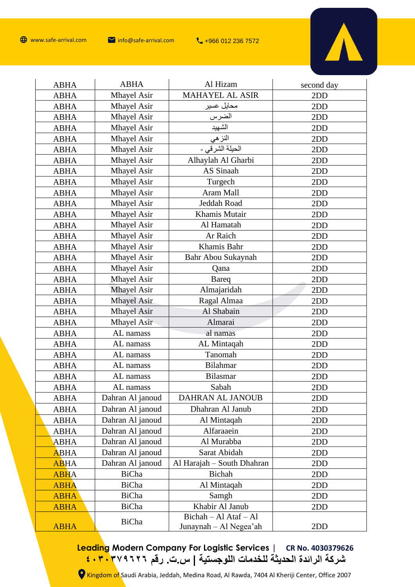

| <b>ABHA</b> | <b>ABHA</b>        | Al Hizam                                        | second day |
|-------------|--------------------|-------------------------------------------------|------------|
| <b>ABHA</b> | Mhayel Asir        | <b>MAHAYEL AL ASIR</b>                          | 2DD        |
| <b>ABHA</b> | <b>Mhayel Asir</b> | محايل عسير                                      | 2DD        |
| <b>ABHA</b> | <b>Mhayel Asir</b> | الضرس                                           | 2DD        |
| <b>ABHA</b> | Mhayel Asir        | الشهيد                                          | 2DD        |
| <b>ABHA</b> | <b>Mhayel Asir</b> | النز هي                                         | 2DD        |
| <b>ABHA</b> | <b>Mhayel Asir</b> | الحيلة الشرقي -                                 | 2DD        |
| <b>ABHA</b> | <b>Mhayel Asir</b> | Alhaylah Al Gharbi                              | 2DD        |
| <b>ABHA</b> | Mhayel Asir        | AS Sinaah                                       | 2DD        |
| <b>ABHA</b> | <b>Mhayel Asir</b> | Turgech                                         | 2DD        |
| <b>ABHA</b> | <b>Mhayel Asir</b> | Aram Mall                                       | 2DD        |
| <b>ABHA</b> | <b>Mhayel Asir</b> | Jeddah Road                                     | 2DD        |
| <b>ABHA</b> | Mhayel Asir        | Khamis Mutair                                   | 2DD        |
| <b>ABHA</b> | <b>Mhayel Asir</b> | Al Hamatah                                      | 2DD        |
| <b>ABHA</b> | Mhayel Asir        | Ar Raich                                        | 2DD        |
| <b>ABHA</b> | <b>Mhayel Asir</b> | Khamis Bahr                                     | 2DD        |
| <b>ABHA</b> | Mhayel Asir        | Bahr Abou Sukaynah                              | 2DD        |
| <b>ABHA</b> | <b>Mhayel Asir</b> | Qana                                            | 2DD        |
| <b>ABHA</b> | <b>Mhayel Asir</b> | Bareq                                           | 2DD        |
| <b>ABHA</b> | <b>Mhayel Asir</b> | Almajaridah                                     | 2DD        |
| <b>ABHA</b> | <b>Mhayel Asir</b> | Ragal Almaa                                     | 2DD        |
| <b>ABHA</b> | <b>Mhayel Asir</b> | Al Shabain                                      | 2DD        |
| <b>ABHA</b> | <b>Mhayel Asir</b> | Almarai                                         | 2DD        |
| <b>ABHA</b> | AL namass          | al namas                                        | 2DD        |
| <b>ABHA</b> | AL namass          | AL Mintaqah                                     | 2DD        |
| <b>ABHA</b> | AL namass          | Tanomah                                         | 2DD        |
| <b>ABHA</b> | AL namass          | <b>Bilahmar</b>                                 | 2DD        |
| <b>ABHA</b> | AL namass          | <b>Bilasmar</b>                                 | 2DD        |
| <b>ABHA</b> | AL namass          | Sabah                                           | 2DD        |
| ABHA        | Dahran Al janoud   | DAHRAN AL JANOUB                                | 2DD        |
| <b>ABHA</b> | Dahran Al janoud   | Dhahran Al Janub                                | 2DD        |
| <b>ABHA</b> | Dahran Al janoud   | Al Mintaqah                                     | 2DD        |
| ABHA        | Dahran Al janoud   | Alfaraaein                                      | 2DD        |
| <b>ABHA</b> | Dahran Al janoud   | Al Murabba                                      | 2DD        |
| <b>ABHA</b> | Dahran Al janoud   | Sarat Abidah                                    | 2DD        |
| <b>ABHA</b> | Dahran Al janoud   | Al Harajah - South Dhahran                      | 2DD        |
| <b>ABHA</b> | BiCha              | Bichah                                          | 2DD        |
| <b>ABHA</b> | BiCha              | Al Mintaqah                                     | 2DD        |
| <b>ABHA</b> | BiCha              | Samgh                                           | 2DD        |
| <b>ABHA</b> | BiCha              | Khabir Al Janub                                 | 2DD        |
| <b>ABHA</b> | BiCha              | Bichah - Al Ataf - Al<br>Junaynah - Al Negea'ah | 2DD        |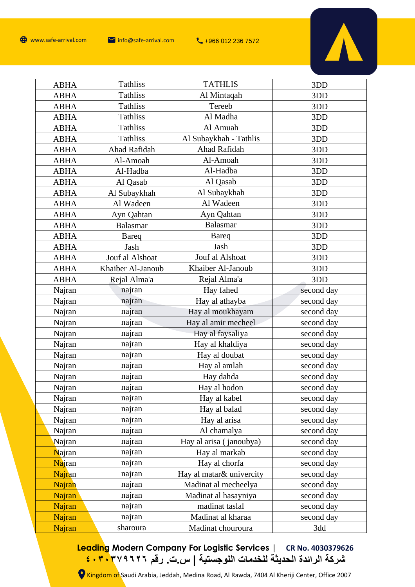

| <b>ABHA</b>   | <b>Tathliss</b>   | <b>TATHLIS</b>           | 3DD        |
|---------------|-------------------|--------------------------|------------|
| <b>ABHA</b>   | <b>Tathliss</b>   | Al Mintaqah              | 3DD        |
| <b>ABHA</b>   | <b>Tathliss</b>   | Tereeb                   | 3DD        |
| <b>ABHA</b>   | <b>Tathliss</b>   | Al Madha                 | 3DD        |
| <b>ABHA</b>   | <b>Tathliss</b>   | Al Amuah                 | 3DD        |
| <b>ABHA</b>   | <b>Tathliss</b>   | Al Subaykhah - Tathlis   | 3DD        |
| <b>ABHA</b>   | Ahad Rafidah      | Ahad Rafidah             | 3DD        |
| <b>ABHA</b>   | Al-Amoah          | Al-Amoah                 | 3DD        |
| <b>ABHA</b>   | Al-Hadba          | Al-Hadba                 | 3DD        |
| <b>ABHA</b>   | Al Qasab          | Al Qasab                 | 3DD        |
| <b>ABHA</b>   | Al Subaykhah      | Al Subaykhah             | 3DD        |
| <b>ABHA</b>   | Al Wadeen         | Al Wadeen                | 3DD        |
| <b>ABHA</b>   | Ayn Qahtan        | Ayn Qahtan               | 3DD        |
| <b>ABHA</b>   | <b>Balasmar</b>   | Balasmar                 | 3DD        |
| <b>ABHA</b>   | <b>Bareq</b>      | <b>Bareq</b>             | 3DD        |
| <b>ABHA</b>   | Jash              | Jash                     | 3DD        |
| <b>ABHA</b>   | Jouf al Alshoat   | Jouf al Alshoat          | 3DD        |
| <b>ABHA</b>   | Khaiber Al-Janoub | Khaiber Al-Janoub        | 3DD        |
| <b>ABHA</b>   | Rejal Alma'a      | Rejal Alma'a             | 3DD        |
| Najran        | najran            | Hay fahed                | second day |
| Najran        | najran            | Hay al athayba           | second day |
| Najran        | najran            | Hay al moukhayam         | second day |
| Najran        | najran            | Hay al amir mecheel      | second day |
| Najran        | najran            | Hay al faysaliya         | second day |
| Najran        | najran            | Hay al khaldiya          | second day |
| Najran        | najran            | Hay al doubat            | second day |
| Najran        | najran            | Hay al amlah             | second day |
| Najran        | najran            | Hay dahda                | second day |
| Najran        | najran            | Hay al hodon             | second day |
| Najran        | najran            | Hay al kabel             | second day |
| Najran        | najran            | Hay al balad             | second day |
| Najran        | najran            | Hay al arisa             | second day |
| Najran        | najran            | Al chamalya              | second day |
| Najran        | najran            | Hay al arisa (janoubya)  | second day |
| <b>Najran</b> | najran            | Hay al markab            | second day |
| <b>Najran</b> | najran            | Hay al chorfa            | second day |
| <b>Najran</b> | najran            | Hay al matar& univercity | second day |
| Najran        | najran            | Madinat al mecheelya     | second day |
| Najran        | najran            | Madinat al hasayniya     | second day |
| Najran        | najran            | madinat taslal           | second day |
| Najran        | najran            | Madinat al kharaa        | second day |
| Najran        | sharoura          | Madinat chouroura        | 3dd        |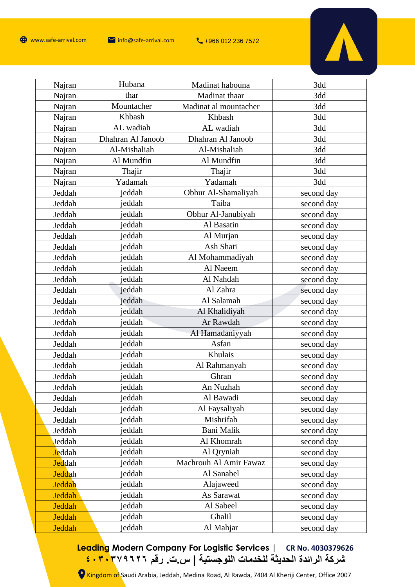

| Najran         | Hubana            | Madinat habouna        | 3dd        |
|----------------|-------------------|------------------------|------------|
| Najran         | thar              | Madinat thaar          | 3dd        |
| Najran         | Mountacher        | Madinat al mountacher  | 3dd        |
| Najran         | Khbash            | Khbash                 | 3dd        |
| Najran         | AL wadiah         | AL wadiah              | 3dd        |
| Najran         | Dhahran Al Janoob | Dhahran Al Janoob      | 3dd        |
| Najran         | Al-Mishaliah      | Al-Mishaliah           | 3dd        |
| Najran         | Al Mundfin        | Al Mundfin             | 3dd        |
| Najran         | Thajir            | Thajir                 | 3dd        |
| Najran         | Yadamah           | Yadamah                | 3dd        |
| Jeddah         | jeddah            | Obhur Al-Shamaliyah    | second day |
| Jeddah         | jeddah            | Taiba                  | second day |
| Jeddah         | jeddah            | Obhur Al-Janubiyah     | second day |
| Jeddah         | jeddah            | Al Basatin             | second day |
| Jeddah         | jeddah            | Al Murjan              | second day |
| Jeddah         | jeddah            | Ash Shati              | second day |
| Jeddah         | jeddah            | Al Mohammadiyah        | second day |
| Jeddah         | jeddah            | Al Naeem               | second day |
| Jeddah         | jeddah            | Al Nahdah              | second day |
| Jeddah         | jeddah            | Al Zahra               | second day |
| Jeddah         | jeddah            | Al Salamah             | second day |
| Jeddah         | jeddah            | Al Khalidiyah          | second day |
| Jeddah         | jeddah            | Ar Rawdah              | second day |
| Jeddah         | jeddah            | Al Hamadaniyyah        | second day |
| Jeddah         | jeddah            | Asfan                  | second day |
| Jeddah         | jeddah            | Khulais                | second day |
| Jeddah         | jeddah            | Al Rahmanyah           | second day |
| Jeddah         | jeddah            | Ghran                  | second day |
| Jeddah         | jeddah            | An Nuzhah              | second day |
| Jeddah         | jeddah            | Al Bawadi              | second day |
| Jeddah         | jeddah            | Al Faysaliyah          | second day |
| Jeddah         | jeddah            | Mishrifah              | second day |
| Jeddah         | jeddah            | Bani Malik             | second day |
| Jeddah         | jeddah            | Al Khomrah             | second day |
| <b>Jeddah</b>  | jeddah            | Al Qryniah             | second day |
| <b>Jed</b> dah | jeddah            | Machrouh Al Amir Fawaz | second day |
| <b>Jeddah</b>  | jeddah            | Al Sanabel             | second day |
| <b>Jeddah</b>  | jeddah            | Alajaweed              | second day |
| Jeddah         | jeddah            | As Sarawat             | second day |
| Jeddah         | jeddah            | Al Sabeel              | second day |
| Jeddah         | jeddah            | Ghalil                 | second day |
| Jeddah         | jeddah            | Al Mahjar              | second day |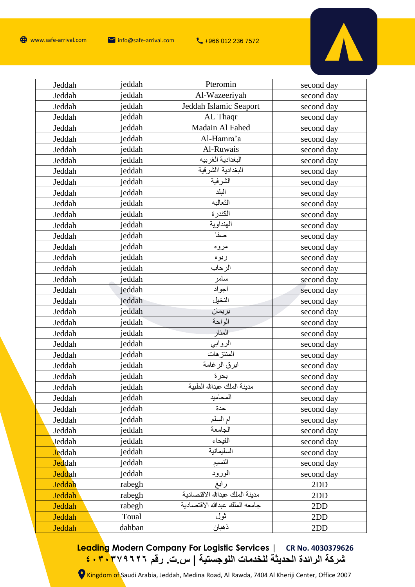

| Jeddah        | jeddah | Pteromin                       | second day |
|---------------|--------|--------------------------------|------------|
| Jeddah        | jeddah | Al-Wazeeriyah                  | second day |
| Jeddah        | jeddah | Jeddah Islamic Seaport         | second day |
| Jeddah        | jeddah | AL Thaqr                       | second day |
| Jeddah        | jeddah | Madain Al Fahed                | second day |
| Jeddah        | jeddah | Al-Hamra'a                     | second day |
| Jeddah        | jeddah | Al-Ruwais                      | second day |
| Jeddah        | jeddah | البغدادية الغربيه              | second day |
| Jeddah        | jeddah | البغدادية االشرقية             | second day |
| Jeddah        | jeddah | الشرفية                        | second day |
| Jeddah        | jeddah | البلد                          | second day |
| Jeddah        | jeddah | الثعالبه                       | second day |
| Jeddah        | jeddah | الكندرة                        | second day |
| Jeddah        | jeddah | الهنداوية                      | second day |
| Jeddah        | jeddah | صفا                            | second day |
| Jeddah        | jeddah | مروه                           | second day |
| Jeddah        | jeddah | ربوه                           | second day |
| Jeddah        | jeddah | الرحاب                         | second day |
| Jeddah        | jeddah | سامر                           | second day |
| Jeddah        | jeddah | اجواد                          | second day |
| Jeddah        | jeddah | النخيل                         | second day |
| Jeddah        | jeddah | بريمان                         | second day |
| Jeddah        | jeddah | الواحة                         | second day |
| Jeddah        | jeddah | المنار                         | second day |
| Jeddah        | jeddah | الروابي                        | second day |
| Jeddah        | jeddah | المنتز هات                     | second day |
| Jeddah        | jeddah | ابرق الرغامة                   | second day |
| Jeddah        | jeddah | بحرة                           | second day |
| Jeddah        | jeddah | مدينة الملك عبدالله الطبية     | second day |
| Jeddah        | jeddah | المحاميد                       | second day |
| Jeddah        | jeddah | حدة                            | second day |
| Jeddah        | jeddah | ام السلم                       | second day |
| Jeddah        | jeddah | الجامعة                        | second day |
| Jeddah        | jeddah | الفيحاء                        | second day |
| <b>Jeddah</b> | jeddah | السليمانية                     | second day |
| <b>Jeddah</b> | jeddah | النسيم                         | second day |
| <b>Jeddah</b> | jeddah | الورود                         | second day |
| Jeddah        | rabegh | رابغ                           | 2DD        |
| Jeddah        | rabegh | مدينة الملك عبدالله الاقتصادية | 2DD        |
| Jeddah        | rabegh | جامعه الملك عبدالله الاقتصادية | 2DD        |
| Jeddah        | Toual  | ثول                            | 2DD        |
| Jeddah        | dahban | ذهبان                          | 2DD        |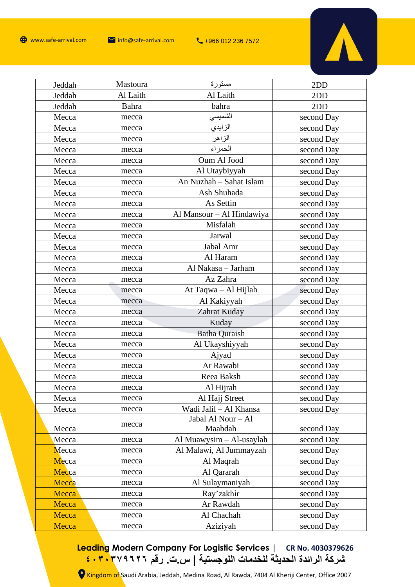

| Jeddah | Mastoura | مستورة                    | 2DD        |
|--------|----------|---------------------------|------------|
| Jeddah | Al Laith | Al Laith                  | 2DD        |
| Jeddah | Bahra    | bahra                     | 2DD        |
| Mecca  | mecca    | الشميسى                   | second Day |
| Mecca  | mecca    | الزايدي                   | second Day |
| Mecca  | mecca    | الزاهر                    | second Day |
| Mecca  | mecca    | الحمراء                   | second Day |
| Mecca  | mecca    | Oum Al Jood               | second Day |
| Mecca  | mecca    | Al Utaybiyyah             | second Day |
| Mecca  | mecca    | An Nuzhah - Sahat Islam   | second Day |
| Mecca  | mecca    | Ash Shuhada               | second Day |
| Mecca  | mecca    | As Settin                 | second Day |
| Mecca  | mecca    | Al Mansour - Al Hindawiya | second Day |
| Mecca  | mecca    | Misfalah                  | second Day |
| Mecca  | mecca    | Jarwal                    | second Day |
| Mecca  | mecca    | Jabal Amr                 | second Day |
| Mecca  | mecca    | Al Haram                  | second Day |
| Mecca  | mecca    | Al Nakasa - Jarham        | second Day |
| Mecca  | mecca    | Az Zahra                  | second Day |
| Mecca  | mecca    | At Taqwa - Al Hijlah      | second Day |
| Mecca  | mecca    | Al Kakiyyah               | second Day |
| Mecca  | mecca    | Zahrat Kuday              | second Day |
| Mecca  | mecca    | Kuday                     | second Day |
| Mecca  | mecca    | <b>Batha Quraish</b>      | second Day |
| Mecca  | mecca    | Al Ukayshiyyah            | second Day |
| Mecca  | mecca    | Ajyad                     | second Day |
| Mecca  | mecca    | Ar Rawabi                 | second Day |
| Mecca  | mecca    | Reea Baksh                | second Day |
| Mecca  | mecca    | Al Hijrah                 | second Day |
| Mecca  | mecca    | Al Hajj Street            | second Day |
| Mecca  | mecca    | Wadi Jalil - Al Khansa    | second Day |
|        | mecca    | Jabal Al Nour - Al        |            |
| Mecca  |          | Maabdah                   | second Day |
| Mecca  | mecca    | Al Muawysim - Al-usaylah  | second Day |
| Mecca  | mecca    | Al Malawi, Al Jummayzah   | second Day |
| Mecca  | mecca    | Al Maqrah                 | second Day |
| Mecca  | mecca    | Al Qararah                | second Day |
| Mecca  | mecca    | Al Sulaymaniyah           | second Day |
| Mecca  | mecca    | Ray'zakhir                | second Day |
| Mecca  | mecca    | Ar Rawdah                 | second Day |
| Mecca  | mecca    | Al Chachah                | second Day |
| Mecca  | mecca    | Aziziyah                  | second Day |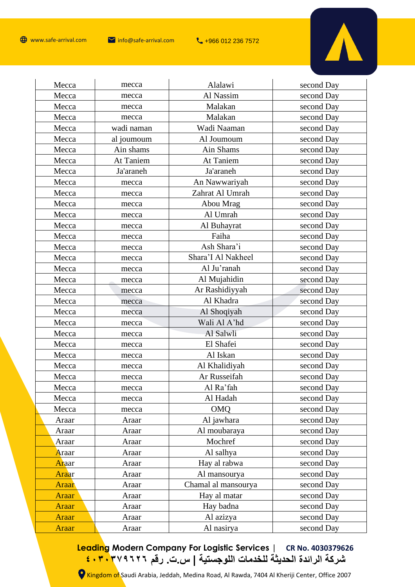

| Mecca | mecca      | Alalawi             | second Day |
|-------|------------|---------------------|------------|
| Mecca | mecca      | Al Nassim           | second Day |
| Mecca | mecca      | Malakan             | second Day |
| Mecca | mecca      | Malakan             | second Day |
| Mecca | wadi naman | Wadi Naaman         | second Day |
| Mecca | al joumoum | Al Joumoum          | second Day |
| Mecca | Ain shams  | Ain Shams           | second Day |
| Mecca | At Taniem  | At Taniem           | second Day |
| Mecca | Ja'araneh  | Ja'araneh           | second Day |
| Mecca | mecca      | An Nawwariyah       | second Day |
| Mecca | mecca      | Zahrat Al Umrah     | second Day |
| Mecca | mecca      | Abou Mrag           | second Day |
| Mecca | mecca      | Al Umrah            | second Day |
| Mecca | mecca      | Al Buhayrat         | second Day |
| Mecca | mecca      | Faiha               | second Day |
| Mecca | mecca      | Ash Shara'i         | second Day |
| Mecca | mecca      | Shara'I Al Nakheel  | second Day |
| Mecca | mecca      | Al Ju'ranah         | second Day |
| Mecca | mecca      | Al Mujahidin        | second Day |
| Mecca | mecca      | Ar Rashidiyyah      | second Day |
| Mecca | mecca      | Al Khadra           | second Day |
| Mecca | mecca      | Al Shoqiyah         | second Day |
| Mecca | mecca      | Wali Al A'hd        | second Day |
| Mecca | mecca      | Al Salwli           | second Day |
| Mecca | mecca      | El Shafei           | second Day |
| Mecca | mecca      | Al Iskan            | second Day |
| Mecca | mecca      | Al Khalidiyah       | second Day |
| Mecca | mecca      | Ar Russeifah        | second Day |
| Mecca | mecca      | Al Ra'fah           | second Day |
| Mecca | mecca      | Al Hadah            | second Day |
| Mecca | mecca      | <b>OMQ</b>          | second Day |
| Araar | Araar      | Al jawhara          | second Day |
| Araar | Araar      | Al moubaraya        | second Day |
| Araar | Araar      | Mochref             | second Day |
| Araar | Araar      | Al salhya           | second Day |
| Araar | Araar      | Hay al rabwa        | second Day |
| Araar | Araar      | Al mansourya        | second Day |
| Araar | Araar      | Chamal al mansourya | second Day |
| Araar | Araar      | Hay al matar        | second Day |
| Araar | Araar      | Hay badna           | second Day |
| Araar | Araar      | Al azizya           | second Day |
| Araar | Araar      | Al nasirya          | second Day |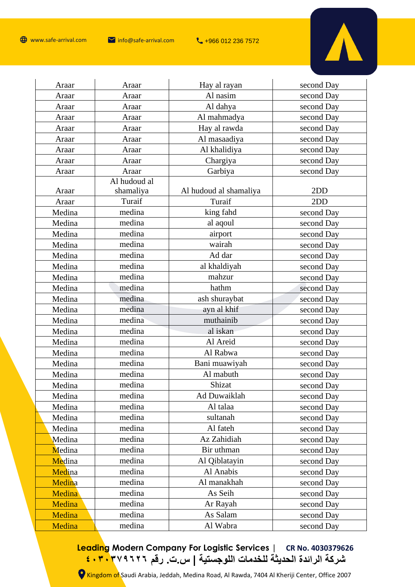

 $\mathbf{r}$ 

| Araar  | Araar        | Hay al rayan           | second Day |
|--------|--------------|------------------------|------------|
| Araar  | Araar        | Al nasim               | second Day |
| Araar  | Araar        | Al dahya               | second Day |
| Araar  | Araar        | Al mahmadya            | second Day |
| Araar  | Araar        | Hay al rawda           | second Day |
| Araar  | Araar        | Al masaadiya           | second Day |
| Araar  | Araar        | Al khalidiya           | second Day |
| Araar  | Araar        | Chargiya               | second Day |
| Araar  | Araar        | Garbiya                | second Day |
|        | Al hudoud al |                        |            |
| Araar  | shamaliya    | Al hudoud al shamaliya | 2DD        |
| Araar  | Turaif       | Turaif                 | 2DD        |
| Medina | medina       | king fahd              | second Day |
| Medina | medina       | al aqoul               | second Day |
| Medina | medina       | airport                | second Day |
| Medina | medina       | wairah                 | second Day |
| Medina | medina       | Ad dar                 | second Day |
| Medina | medina       | al khaldiyah           | second Day |
| Medina | medina       | mahzur                 | second Day |
| Medina | medina       | hathm                  | second Day |
| Medina | medina       | ash shuraybat          | second Day |
| Medina | medina       | ayn al khif            | second Day |
| Medina | medina       | muthainib              | second Day |
| Medina | medina       | al iskan               | second Day |
| Medina | medina       | Al Areid               | second Day |
| Medina | medina       | Al Rabwa               | second Day |
| Medina | medina       | Bani muawiyah          | second Day |
| Medina | medina       | Al mabuth              | second Day |
| Medina | medina       | Shizat                 | second Day |
| Medina | medina       | Ad Duwaiklah           | second Day |
| Medina | medina       | Al talaa               | second Day |
| Medina | medina       | sultanah               | second Day |
| Medina | medina       | Al fateh               | second Day |
| Medina | medina       | Az Zahidiah            | second Day |
| Medina | medina       | Bir uthman             | second Day |
| Medina | medina       | Al Qiblatayin          | second Day |
| Medina | medina       | Al Anabis              | second Day |
| Medina | medina       | Al manakhah            | second Day |
| Medina | medina       | As Seih                | second Day |
| Medina | medina       | Ar Rayah               | second Day |
| Medina | medina       | As Salam               | second Day |
| Medina | medina       | Al Wabra               | second Day |

**Leading Modern Company For Logistic Services | CR No. 4030379626 شركة الرائدة الحديثة للخدمات اللوجستية | س.ت. رقم ٤٠٣٠٣٧٩٦٢٦**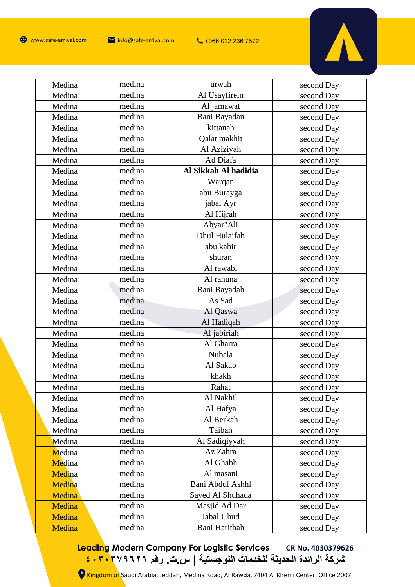

| Medina | medina | urwah                | second Day |
|--------|--------|----------------------|------------|
| Medina | medina | Al Usayfirein        | second Day |
| Medina | medina | Al jamawat           | second Day |
| Medina | medina | Bani Bayadan         | second Day |
| Medina | medina | kittanah             | second Day |
| Medina | medina | Qalat makhit         | second Day |
| Medina | medina | Al Aziziyah          | second Day |
| Medina | medina | Ad Diafa             | second Day |
| Medina | medina | Al Sikkah Al hadidia | second Day |
| Medina | medina | Warqan               | second Day |
| Medina | medina | abu Burayga          | second Day |
| Medina | medina | jabal Ayr            | second Day |
| Medina | medina | Al Hijrah            | second Day |
| Medina | medina | Abyar"Ali            | second Day |
| Medina | medina | Dhul Hulaifah        | second Day |
| Medina | medina | abu kabir            | second Day |
| Medina | medina | shuran               | second Day |
| Medina | medina | Al rawabi            | second Day |
| Medina | medina | Al ranuna            | second Day |
| Medina | medina | Bani Bayadah         | second Day |
| Medina | medina | As Sad               | second Day |
| Medina | medina | Al Qaswa             | second Day |
| Medina | medina | Al Hadiqah           | second Day |
| Medina | medina | Al jabiriah          | second Day |
| Medina | medina | Al Gharra            | second Day |
| Medina | medina | Nubala               | second Day |
| Medina | medina | Al Sakab             | second Day |
| Medina | medina | khakh                | second Day |
| Medina | medina | Rahat                | second Day |
| Medina | medina | Al Nakhil            | second Day |
| Medina | medina | Al Hafya             | second Day |
| Medina | medina | Al Berkah            | second Day |
| Medina | medina | Taibah               | second Day |
| Medina | medina | Al Sadiqiyyah        | second Day |
| Medina | medina | Az Zahra             | second Day |
| Medina | medina | Al Ghabh             | second Day |
| Medina | medina | Al masani            | second Day |
| Medina | medina | Bani Abdul Ashhl     | second Day |
| Medina | medina | Sayed Al Shuhada     | second Day |
| Medina | medina | Masjid Ad Dar        | second Day |
| Medina | medina | Jabal Uhud           | second Day |
| Medina | medina | Bani Harithah        | second Day |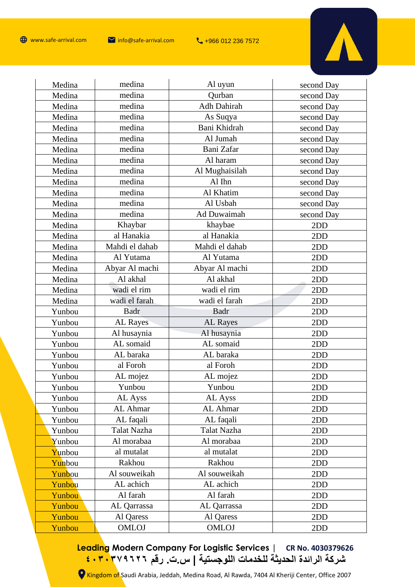

| Medina           | medina             | Al uyun            | second Day |
|------------------|--------------------|--------------------|------------|
| Medina           | medina             | Qurban             | second Day |
| Medina           | medina             | Adh Dahirah        | second Day |
| Medina           | medina             | As Suqya           | second Day |
| Medina           | medina             | Bani Khidrah       | second Day |
| Medina           | medina             | Al Jumah           | second Day |
| Medina           | medina             | Bani Zafar         | second Day |
| Medina           | medina             | Al haram           | second Day |
| Medina           | medina             | Al Mughaisilah     | second Day |
| Medina           | medina             | Al Ihn             | second Day |
| Medina           | medina             | Al Khatim          | second Day |
| Medina           | medina             | Al Usbah           | second Day |
| Medina           | medina             | Ad Duwaimah        | second Day |
| Medina           | Khaybar            | khaybae            | 2DD        |
| Medina           | al Hanakia         | al Hanakia         | 2DD        |
| Medina           | Mahdi el dahab     | Mahdi el dahab     | 2DD        |
| Medina           | Al Yutama          | Al Yutama          | 2DD        |
| Medina           | Abyar Al machi     | Abyar Al machi     | 2DD        |
| Medina           | Al akhal           | Al akhal           | 2DD        |
| Medina           | wadi el rim        | wadi el rim        | 2DD        |
|                  | wadi el farah      | wadi el farah      | 2DD        |
| Medina           |                    |                    |            |
| Yunbou           | <b>Badr</b>        | Badr               | 2DD        |
| Yunbou           | AL Rayes           | AL Rayes           | 2DD        |
| Yunbou           | Al husaynia        | Al husaynia        | 2DD        |
| Yunbou           | AL somaid          | AL somaid          | 2DD        |
| Yunbou           | AL baraka          | AL baraka          | 2DD        |
| Yunbou           | al Foroh           | al Foroh           | 2DD        |
| Yunbou           | AL mojez           | AL mojez           | 2DD        |
| Yunbou           | Yunbou             | Yunbou             | 2DD        |
| Yunbou           | AL Ayss            | AL Ayss            | 2DD        |
| Yunbou           | AL Ahmar           | AL Ahmar           | 2DD        |
| Yunbou           | AL faqali          | AL faqali          | 2DD        |
| Yunbou           | Talat Nazha        | Talat Nazha        | 2DD        |
| Yunbou           | Al morabaa         | Al morabaa         | 2DD        |
| Yunbou           | al mutalat         | al mutalat         | 2DD        |
| Yunbou           | Rakhou             | Rakhou             | 2DD        |
| Yunbou           | Al souweikah       | Al souweikah       | 2DD        |
| Yunbou           | AL achich          | AL achich          | 2DD        |
| Yunbou           | Al farah           | Al farah           | 2DD        |
| Yunbou           | AL Qarrassa        | AL Qarrassa        | 2DD        |
| Yunbou<br>Yunbou | Al Qaress<br>OMLOJ | Al Qaress<br>OMLOJ | 2DD<br>2DD |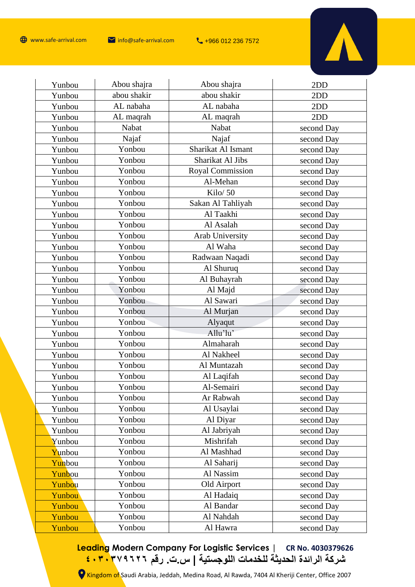

| Yunbou | Abou shajra | Abou shajra        | 2DD        |
|--------|-------------|--------------------|------------|
| Yunbou | abou shakir | abou shakir        | 2DD        |
| Yunbou | AL nabaha   | AL nabaha          | 2DD        |
| Yunbou | AL maqrah   | AL maqrah          | 2DD        |
| Yunbou | Nabat       | Nabat              | second Day |
| Yunbou | Najaf       | Najaf              | second Day |
| Yunbou | Yonbou      | Sharikat Al Ismant | second Day |
| Yunbou | Yonbou      | Sharikat Al Jibs   | second Day |
| Yunbou | Yonbou      | Royal Commission   | second Day |
| Yunbou | Yonbou      | Al-Mehan           | second Day |
| Yunbou | Yonbou      | Kilo/ 50           | second Day |
| Yunbou | Yonbou      | Sakan Al Tahliyah  | second Day |
| Yunbou | Yonbou      | Al Taakhi          | second Day |
| Yunbou | Yonbou      | Al Asalah          | second Day |
| Yunbou | Yonbou      | Arab University    | second Day |
| Yunbou | Yonbou      | Al Waha            | second Day |
| Yunbou | Yonbou      | Radwaan Naqadi     | second Day |
| Yunbou | Yonbou      | Al Shuruq          | second Day |
| Yunbou | Yonbou      | Al Buhayrah        | second Day |
| Yunbou | Yonbou      | Al Majd            | second Day |
| Yunbou | Yonbou      | Al Sawari          | second Day |
| Yunbou | Yonbou      | Al Murjan          | second Day |
| Yunbou | Yonbou      | Alyaqut            | second Day |
| Yunbou | Yonbou      | Allu'lu'           | second Day |
| Yunbou | Yonbou      | Almaharah          | second Day |
| Yunbou | Yonbou      | Al Nakheel         | second Day |
| Yunbou | Yonbou      | Al Muntazah        | second Day |
| Yunbou | Yonbou      | Al Laqifah         | second Day |
| Yunbou | Yonbou      | Al-Semairi         | second Day |
| Yunbou | Yonbou      | Ar Rabwah          | second Day |
| Yunbou | Yonbou      | Al Usaylai         | second Day |
| Yunbou | Yonbou      | Al Diyar           | second Day |
| Yunbou | Yonbou      | Al Jabriyah        | second Day |
| Yunbou | Yonbou      | Mishrifah          | second Day |
| Yunbou | Yonbou      | Al Mashhad         | second Day |
| Yunbou | Yonbou      | Al Saharij         | second Day |
| Yunbou | Yonbou      | Al Nassim          | second Day |
| Yunbou | Yonbou      | Old Airport        | second Day |
| Yunbou | Yonbou      | Al Hadaiq          | second Day |
| Yunbou | Yonbou      | Al Bandar          | second Day |
| Yunbou | Yonbou      | Al Nahdah          | second Day |
| Yunbou | Yonbou      | Al Hawra           | second Day |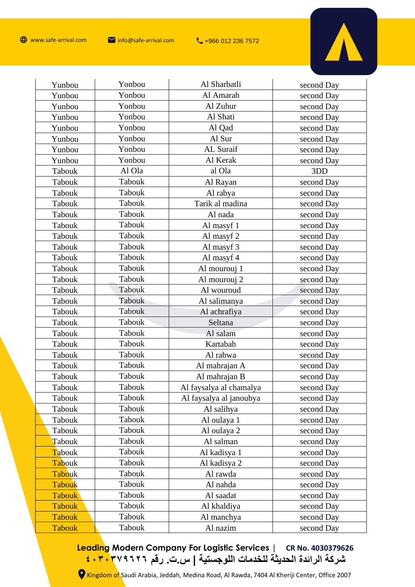

 $\mathbf{r}$ 

| Yunbou        | Yonbou        | Al Sharbatli            | second Day |
|---------------|---------------|-------------------------|------------|
| Yunbou        | Yonbou        | Al Amarah               | second Day |
| Yunbou        | Yonbou        | Al Zuhur                | second Day |
| Yunbou        | Yonbou        | Al Shati                | second Day |
| Yunbou        | Yonbou        | Al Qad                  | second Day |
| Yunbou        | Yonbou        | Al Sur                  | second Day |
| Yunbou        | Yonbou        | AL Suraif               | second Day |
| Yunbou        | Yonbou        | Al Kerak                | second Day |
| Tabouk        | Al Ola        | al Ola                  | 3DD        |
| Tabouk        | Tabouk        | Al Rayan                | second Day |
| Tabouk        | Tabouk        | Al rabya                | second Day |
| <b>Tabouk</b> | Tabouk        | Tarik al madina         | second Day |
| Tabouk        | Tabouk        | Al nada                 | second Day |
| Tabouk        | <b>Tabouk</b> | Al masyf 1              | second Day |
| Tabouk        | Tabouk        | Al masyf 2              | second Day |
| Tabouk        | Tabouk        | Al masyf 3              | second Day |
| <b>Tabouk</b> | Tabouk        | Al masyf 4              | second Day |
| Tabouk        | Tabouk        | Al mourouj 1            | second Day |
| Tabouk        | Tabouk        | Al mourouj 2            | second Day |
| Tabouk        | Tabouk        | Al wouroud              | second Day |
| Tabouk        | Tabouk        | Al salimanya            | second Day |
| Tabouk        | Tabouk        | Al achrafiya            | second Day |
| Tabouk        | <b>Tabouk</b> | Seltana                 | second Day |
| <b>Tabouk</b> | <b>Tabouk</b> | Al salam                | second Day |
| Tabouk        | Tabouk        | Kartabah                | second Day |
| Tabouk        | Tabouk        | Al rabwa                | second Day |
| <b>Tabouk</b> | Tabouk        | Al mahrajan A           | second Day |
| Tabouk        | Tabouk        | Al mahrajan B           | second Day |
| Tabouk        | Tabouk        | Al faysalya al chamalya | second Day |
| Tabouk        | Tabouk        | Al faysalya al janoubya | second Day |
| Tabouk        | Tabouk        | Al salihya              | second Day |
| Tabouk        | Tabouk        | Al oulaya 1             | second Day |
| Tabouk        | Tabouk        | Al oulaya 2             | second Day |
| Tabouk        | Tabouk        | Al salman               | second Day |
| Tabouk        | Tabouk        | Al kadisya 1            | second Day |
| Tabouk        | Tabouk        | Al kadisya 2            | second Day |
| Tabouk        | Tabouk        | Al rawda                | second Day |
| Tabouk        | Tabouk        | Al nahda                | second Day |
| <b>Tabouk</b> | Tabouk        | Al saadat               | second Day |
| <b>Tabouk</b> | Tabouk        | Al khaldiya             | second Day |
| <b>Tabouk</b> | Tabouk        | Al manchya              | second Day |
| <b>Tabouk</b> | Tabouk        | Al nazim                | second Day |
|               |               |                         |            |

**Leading Modern Company For Logistic Services | CR No. 4030379626 شركة الرائدة الحديثة للخدمات اللوجستية | س.ت. رقم ٤٠٣٠٣٧٩٦٢٦**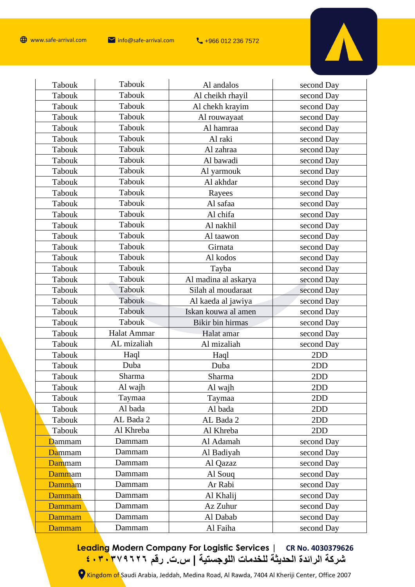

| Tabouk         | <b>Tabouk</b>      | Al andalos           | second Day |
|----------------|--------------------|----------------------|------------|
| Tabouk         | Tabouk             | Al cheikh rhayil     | second Day |
| Tabouk         | Tabouk             | Al chekh krayim      | second Day |
| Tabouk         | Tabouk             | Al rouwayaat         | second Day |
| Tabouk         | Tabouk             | Al hamraa            | second Day |
| Tabouk         | Tabouk             | Al raki              | second Day |
| Tabouk         | Tabouk             | Al zahraa            | second Day |
| Tabouk         | Tabouk             | Al bawadi            | second Day |
| Tabouk         | Tabouk             | Al yarmouk           | second Day |
| Tabouk         | Tabouk             | Al akhdar            | second Day |
| Tabouk         | Tabouk             | Rayees               | second Day |
| Tabouk         | Tabouk             | Al safaa             | second Day |
| Tabouk         | Tabouk             | Al chifa             | second Day |
| Tabouk         | Tabouk             | Al nakhil            | second Day |
| Tabouk         | Tabouk             | Al taawon            | second Day |
| Tabouk         | Tabouk             | Girnata              | second Day |
| Tabouk         | Tabouk             | Al kodos             | second Day |
| Tabouk         | Tabouk             | Tayba                | second Day |
| Tabouk         | Tabouk             | Al madina al askarya | second Day |
| Tabouk         | Tabouk             | Silah al moudaraat   | second Day |
| Tabouk         | Tabouk             | Al kaeda al jawiya   | second Day |
| Tabouk         | Tabouk             | Iskan kouwa al amen  | second Day |
| Tabouk         | <b>Tabouk</b>      | Bikir bin hirmas     | second Day |
| Tabouk         | <b>Halat Ammar</b> | Halat amar           | second Day |
| Tabouk         | AL mizaliah        | Al mizaliah          | second Day |
| Tabouk         | Haql               | Haql                 | 2DD        |
| Tabouk         | Duba               | Duba                 | 2DD        |
| <b>Tabouk</b>  | Sharma             | Sharma               | 2DD        |
| Tabouk         | Al wajh            | Al wajh              | 2DD        |
| Tabouk         | Taymaa             | Taymaa               | 2DD        |
| Tabouk         | Al bada            | Al bada              | 2DD        |
| Tabouk         | AL Bada 2          | AL Bada 2            | 2DD        |
| Tabouk         | Al Khreba          | Al Khreba            | 2DD        |
| <b>D</b> ammam | Dammam             | Al Adamah            | second Day |
| Dammam         | Dammam             | Al Badiyah           | second Day |
| Dammam         | Dammam             | Al Qazaz             | second Day |
| Dammam         | Dammam             | Al Soug              | second Day |
| Dammam         | Dammam             | Ar Rabi              | second Day |
| Dammam         | Dammam             | Al Khalij            | second Day |
|                |                    |                      |            |
| Dammam         | Dammam             | Az Zuhur             | second Day |
| Dammam         | Dammam             | Al Dabab             | second Day |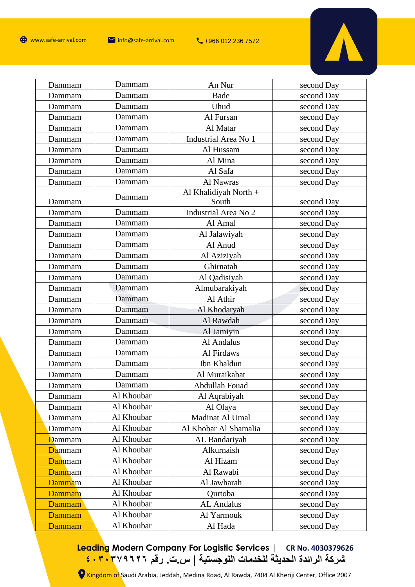

| Dammam         | Dammam     | An Nur                         | second Day |
|----------------|------------|--------------------------------|------------|
| Dammam         | Dammam     | Bade                           | second Day |
| Dammam         | Dammam     | Uhud                           | second Day |
| Dammam         | Dammam     | Al Fursan                      | second Day |
| Dammam         | Dammam     | Al Matar                       | second Day |
| Dammam         | Dammam     | Industrial Area No 1           | second Day |
| Dammam         | Dammam     | Al Hussam                      | second Day |
| Dammam         | Dammam     | Al Mina                        | second Day |
| Dammam         | Dammam     | Al Safa                        | second Day |
| Dammam         | Dammam     | Al Nawras                      | second Day |
| Dammam         | Dammam     | Al Khalidiyah North +<br>South | second Day |
| Dammam         | Dammam     | Industrial Area No 2           | second Day |
| Dammam         | Dammam     | Al Amal                        | second Day |
| Dammam         | Dammam     | Al Jalawiyah                   | second Day |
| Dammam         | Dammam     | Al Anud                        | second Day |
| Dammam         | Dammam     | Al Aziziyah                    | second Day |
| Dammam         | Dammam     | Ghirnatah                      | second Day |
| Dammam         | Dammam     | Al Qadisiyah                   | second Day |
| Dammam         | Dammam     | Almubarakiyah                  | second Day |
| Dammam         | Dammam     | Al Athir                       | second Day |
| Dammam         | Dammam     | Al Khodaryah                   | second Day |
| Dammam         | Dammam     | Al Rawdah                      | second Day |
| Dammam         | Dammam     | Al Jamiyin                     | second Day |
| Dammam         | Dammam     | Al Andalus                     | second Day |
| Dammam         | Dammam     | Al Firdaws                     | second Day |
| Dammam         | Dammam     | Ibn Khaldun                    | second Day |
| Dammam         | Dammam     | Al Muraikabat                  | second Day |
| Dammam         | Dammam     | Abdullah Fouad                 | second Day |
| Dammam         | Al Khoubar | Al Aqrabiyah                   | second Day |
| Dammam         | Al Khoubar | Al Olaya                       | second Day |
| Dammam         | Al Khoubar | Madinat Al Umal                | second Day |
| Dammam         | Al Khoubar | Al Khobar Al Shamalia          | second Day |
| <b>D</b> ammam | Al Khoubar | AL Bandariyah                  | second Day |
| Dammam         | Al Khoubar | Alkurnaish                     | second Day |
| Dammam         | Al Khoubar | Al Hizam                       | second Day |
| Dammam         | Al Khoubar | Al Rawabi                      | second Day |
| Dammam         | Al Khoubar | Al Jawharah                    | second Day |
| Dammam         | Al Khoubar | Qurtoba                        | second Day |
| Dammam         | Al Khoubar | <b>AL</b> Andalus              | second Day |
| Dammam         | Al Khoubar | Al Yarmouk                     | second Day |
| Dammam         | Al Khoubar | Al Hada                        | second Day |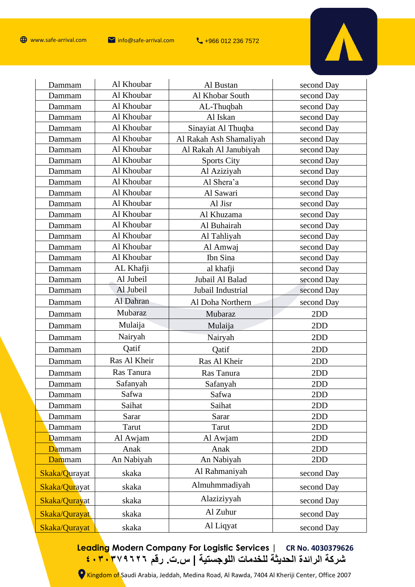

| Dammam        | Al Khoubar   | Al Bustan               | second Day |
|---------------|--------------|-------------------------|------------|
| Dammam        | Al Khoubar   | Al Khobar South         | second Day |
| Dammam        | Al Khoubar   | AL-Thuqbah              | second Day |
| Dammam        | Al Khoubar   | Al Iskan                | second Day |
| Dammam        | Al Khoubar   | Sinayiat Al Thuqba      | second Day |
| Dammam        | Al Khoubar   | Al Rakah Ash Shamaliyah | second Day |
| Dammam        | Al Khoubar   | Al Rakah Al Janubiyah   | second Day |
| Dammam        | Al Khoubar   | <b>Sports City</b>      | second Day |
| Dammam        | Al Khoubar   | Al Aziziyah             | second Day |
| Dammam        | Al Khoubar   | Al Shera'a              | second Day |
| Dammam        | Al Khoubar   | Al Sawari               | second Day |
| Dammam        | Al Khoubar   | Al Jisr                 | second Day |
| Dammam        | Al Khoubar   | Al Khuzama              | second Day |
| Dammam        | Al Khoubar   | Al Buhairah             | second Day |
| Dammam        | Al Khoubar   | Al Tahliyah             | second Day |
| Dammam        | Al Khoubar   | Al Amwaj                | second Day |
| Dammam        | Al Khoubar   | Ibn Sina                | second Day |
| Dammam        | AL Khafji    | al khafji               | second Day |
| Dammam        | Al Jubeil    | Jubail Al Balad         | second Day |
| Dammam        | Al Jubeil    | Jubail Industrial       | second Day |
| Dammam        | Al Dahran    | Al Doha Northern        | second Day |
| Dammam        | Mubaraz      | Mubaraz                 | 2DD        |
| Dammam        | Mulaija      | Mulaija                 | 2DD        |
| Dammam        | Nairyah      | Nairyah                 | 2DD        |
| Dammam        | Qatif        | Qatif                   | 2DD        |
| Dammam        | Ras Al Kheir | Ras Al Kheir            | 2DD        |
| Dammam        | Ras Tanura   | Ras Tanura              | 2DD        |
| Dammam        | Safanyah     | Safanyah                | 2DD        |
| Dammam        | Safwa        | Safwa                   | 2DD        |
| Dammam        | Saihat       | Saihat                  | 2DD        |
| Dammam        | Sarar        | Sarar                   | 2DD        |
| Dammam        | Tarut        | Tarut                   | 2DD        |
| Dammam        | Al Awjam     | Al Awjam                | 2DD        |
| Dammam        | Anak         | Anak                    | 2DD        |
| Dammam        | An Nabiyah   | An Nabiyah              | 2DD        |
| Skaka/Qurayat | skaka        | Al Rahmaniyah           | second Day |
| Skaka/Qurayat | skaka        | Almuhmmadiyah           | second Day |
| Skaka/Qurayat | skaka        | Alaziziyyah             | second Day |
| Skaka/Qurayat | skaka        | Al Zuhur                | second Day |
| Skaka/Qurayat | skaka        | Al Liqyat               | second Day |
|               |              |                         |            |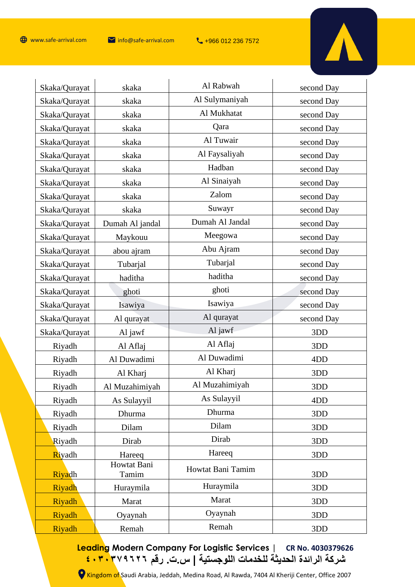

| Skaka/Qurayat | skaka                | Al Rabwah         | second Day       |
|---------------|----------------------|-------------------|------------------|
| Skaka/Qurayat | skaka                | Al Sulymaniyah    | second Day       |
| Skaka/Qurayat | skaka                | Al Mukhatat       | second Day       |
| Skaka/Qurayat | skaka                | Qara              | second Day       |
| Skaka/Qurayat | skaka                | Al Tuwair         | second Day       |
| Skaka/Qurayat | skaka                | Al Faysaliyah     | second Day       |
| Skaka/Qurayat | skaka                | Hadban            | second Day       |
| Skaka/Qurayat | skaka                | Al Sinaiyah       | second Day       |
| Skaka/Qurayat | skaka                | Zalom             | second Day       |
| Skaka/Qurayat | skaka                | Suwayr            | second Day       |
| Skaka/Qurayat | Dumah Al jandal      | Dumah Al Jandal   | second Day       |
| Skaka/Qurayat | Maykouu              | Meegowa           | second Day       |
| Skaka/Qurayat | abou ajram           | Abu Ajram         | second Day       |
| Skaka/Qurayat | Tubarjal             | Tubarjal          | second Day       |
| Skaka/Qurayat | haditha              | haditha           | second Day       |
| Skaka/Qurayat | ghoti                | ghoti             | second Day       |
| Skaka/Qurayat | Isawiya              | Isawiya           | second Day       |
| Skaka/Qurayat | Al qurayat           | Al qurayat        | second Day       |
| Skaka/Qurayat | Al jawf              | Al jawf           | 3DD              |
| Riyadh        | Al Aflaj             | Al Aflaj          | 3DD              |
| Riyadh        | Al Duwadimi          | Al Duwadimi       | 4 <sub>D</sub> D |
| Riyadh        | Al Kharj             | Al Kharj          | 3DD              |
| Riyadh        | Al Muzahimiyah       | Al Muzahimiyah    | 3DD              |
| Riyadh        | As Sulayyil          | As Sulayyil       | 4D <sub>D</sub>  |
| Riyadh        | Dhurma               | Dhurma            | 3DD              |
| Riyadh        | Dilam                | Dilam             | 3DD              |
| Riyadh        | Dirab                | Dirab             | 3DD              |
| Riyadh        | Hareeq               | Hareeq            | 3DD              |
| Riyadh        | Howtat Bani<br>Tamim | Howtat Bani Tamim | 3DD              |
| Riyadh        | Huraymila            | Huraymila         | 3DD              |
| Riyadh        | Marat                | Marat             | 3DD              |
| Riyadh        | Oyaynah              | Oyaynah           | 3DD              |
| Riyadh        | Remah                | Remah             | 3DD              |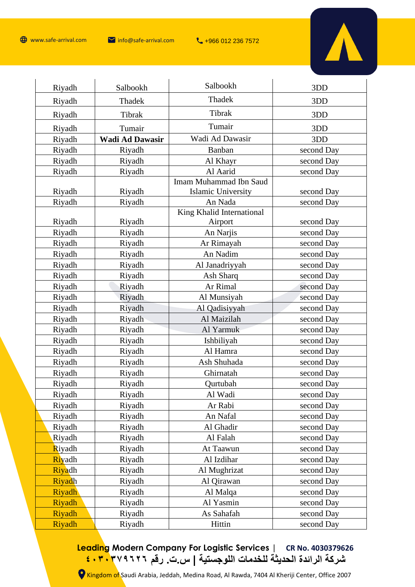

| Riyadh        | Salbookh               | Salbookh                      | 3DD        |
|---------------|------------------------|-------------------------------|------------|
| Riyadh        | Thadek                 | Thadek                        | 3DD        |
| Riyadh        | Tibrak                 | Tibrak                        | 3DD        |
| Riyadh        | Tumair                 | Tumair                        | 3DD        |
| Riyadh        | <b>Wadi Ad Dawasir</b> | Wadi Ad Dawasir               | 3DD        |
| Riyadh        | Riyadh                 | Banban                        | second Day |
| Riyadh        | Riyadh                 | Al Khayr                      | second Day |
| Riyadh        | Riyadh                 | Al Aarid                      | second Day |
|               |                        | <b>Imam Muhammad Ibn Saud</b> |            |
| Riyadh        | Riyadh                 | Islamic University            | second Day |
| Riyadh        | Riyadh                 | An Nada                       | second Day |
|               |                        | King Khalid International     |            |
| Riyadh        | Riyadh                 | Airport                       | second Day |
| Riyadh        | Riyadh                 | An Narjis                     | second Day |
| Riyadh        | Riyadh                 | Ar Rimayah                    | second Day |
| Riyadh        | Riyadh                 | An Nadim                      | second Day |
| Riyadh        | Riyadh                 | Al Janadriyyah                | second Day |
| Riyadh        | Riyadh                 | Ash Sharq                     | second Day |
| Riyadh        | Riyadh                 | Ar Rimal                      | second Day |
| Riyadh        | Riyadh                 | Al Munsiyah                   | second Day |
| Riyadh        | Riyadh                 | Al Qadisiyyah                 | second Day |
| Riyadh        | Riyadh                 | Al Maizilah                   | second Day |
| Riyadh        | Riyadh                 | Al Yarmuk                     | second Day |
| Riyadh        | Riyadh                 | Ishbiliyah                    | second Day |
| Riyadh        | Riyadh                 | Al Hamra                      | second Day |
| Riyadh        | Riyadh                 | Ash Shuhada                   | second Day |
| Riyadh        | Riyadh                 | Ghirnatah                     | second Day |
| Riyadh        | Riyadh                 | Qurtubah                      | second Day |
| Riyadh        | Riyadh                 | Al Wadi                       | second Day |
| Riyadh        | Riyadh                 | Ar Rabi                       | second Day |
| Riyadh        | Riyadh                 | An Nafal                      | second Day |
| Riyadh        | Riyadh                 | Al Ghadir                     | second Day |
| Riyadh        | Riyadh                 | Al Falah                      | second Day |
| Riyadh        | Riyadh                 | At Taawun                     | second Day |
| <b>Riyadh</b> | Riyadh                 | Al Izdihar                    | second Day |
| Riyadh        | Riyadh                 | Al Mughrizat                  | second Day |
| Riyadh        | Riyadh                 | Al Qirawan                    | second Day |
| Riyadh        | Riyadh                 | Al Malqa                      | second Day |
| Riyadh        | Riyadh                 | Al Yasmin                     | second Day |
| Riyadh        | Riyadh                 | As Sahafah                    | second Day |
| Riyadh        | Riyadh                 | Hittin                        | second Day |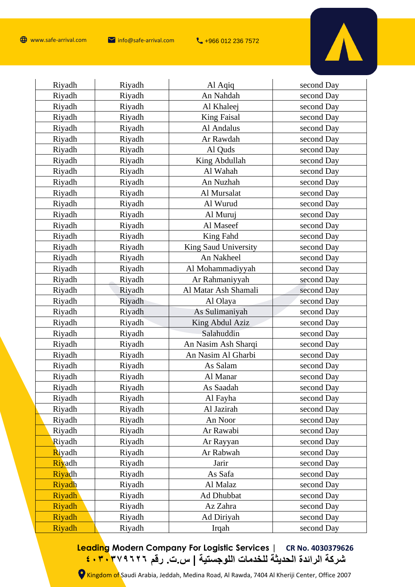

| Riyadh         | Riyadh | Al Aqiq              | second Day |
|----------------|--------|----------------------|------------|
| Riyadh         | Riyadh | An Nahdah            | second Day |
| Riyadh         | Riyadh | Al Khaleej           | second Day |
| Riyadh         | Riyadh | <b>King Faisal</b>   | second Day |
| Riyadh         | Riyadh | Al Andalus           | second Day |
| Riyadh         | Riyadh | Ar Rawdah            | second Day |
| Riyadh         | Riyadh | Al Quds              | second Day |
| Riyadh         | Riyadh | King Abdullah        | second Day |
| Riyadh         | Riyadh | Al Wahah             | second Day |
| Riyadh         | Riyadh | An Nuzhah            | second Day |
| Riyadh         | Riyadh | Al Mursalat          | second Day |
| Riyadh         | Riyadh | Al Wurud             | second Day |
| Riyadh         | Riyadh | Al Muruj             | second Day |
| Riyadh         | Riyadh | Al Maseef            | second Day |
| Riyadh         | Riyadh | King Fahd            | second Day |
| Riyadh         | Riyadh | King Saud University | second Day |
| Riyadh         | Riyadh | An Nakheel           | second Day |
| Riyadh         | Riyadh | Al Mohammadiyyah     | second Day |
| Riyadh         | Riyadh | Ar Rahmaniyyah       | second Day |
| Riyadh         | Riyadh | Al Matar Ash Shamali | second Day |
| Riyadh         | Riyadh | Al Olaya             | second Day |
| Riyadh         | Riyadh | As Sulimaniyah       | second Day |
| Riyadh         | Riyadh | King Abdul Aziz      | second Day |
| Riyadh         | Riyadh | Salahuddin           | second Day |
| Riyadh         | Riyadh | An Nasim Ash Sharqi  | second Day |
| Riyadh         | Riyadh | An Nasim Al Gharbi   | second Day |
| Riyadh         | Riyadh | As Salam             | second Day |
| Riyadh         | Riyadh | Al Manar             | second Day |
| Riyadh         | Riyadh | As Saadah            | second Day |
| Riyadh         | Riyadh | Al Fayha             | second Day |
| Riyadh         | Riyadh | Al Jazirah           | second Day |
| Riyadh         | Riyadh | An Noor              | second Day |
| Riyadh         | Riyadh | Ar Rawabi            | second Day |
| Riyadh         | Riyadh | Ar Rayyan            | second Day |
| <b>R</b> iyadh | Riyadh | Ar Rabwah            | second Day |
| Rivadh         | Riyadh | Jarir                | second Day |
| <b>Riyadh</b>  | Riyadh | As Safa              | second Day |
| Riyadh         | Riyadh | Al Malaz             | second Day |
| <b>Riyadh</b>  | Riyadh | Ad Dhubbat           | second Day |
| Riyadh         | Riyadh | Az Zahra             | second Day |
| Riyadh         | Riyadh | Ad Diriyah           | second Day |
| Riyadh         | Riyadh | Irqah                | second Day |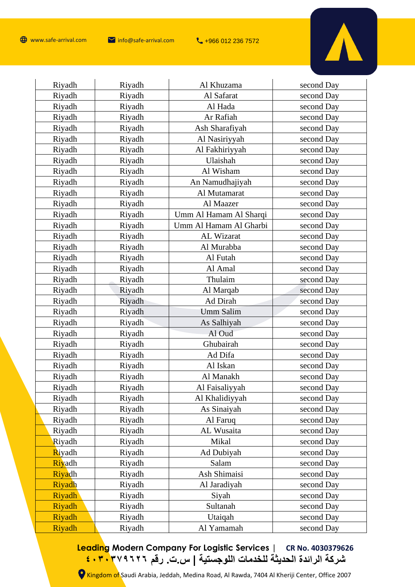

 $\mathbf{r}$ 

| Riyadh        | Riyadh | Al Khuzama             | second Day |
|---------------|--------|------------------------|------------|
| Riyadh        | Riyadh | Al Safarat             | second Day |
| Riyadh        | Riyadh | Al Hada                | second Day |
| Riyadh        | Riyadh | Ar Rafiah              | second Day |
| Riyadh        | Riyadh | Ash Sharafiyah         | second Day |
| Riyadh        | Riyadh | Al Nasiriyyah          | second Day |
| Riyadh        | Riyadh | Al Fakhiriyyah         | second Day |
| Riyadh        | Riyadh | Ulaishah               | second Day |
| Riyadh        | Riyadh | Al Wisham              | second Day |
| Riyadh        | Riyadh | An Namudhajiyah        | second Day |
| Riyadh        | Riyadh | Al Mutamarat           | second Day |
| Riyadh        | Riyadh | Al Maazer              | second Day |
| Riyadh        | Riyadh | Umm Al Hamam Al Sharqi | second Day |
| Riyadh        | Riyadh | Umm Al Hamam Al Gharbi | second Day |
| Riyadh        | Riyadh | AL Wizarat             | second Day |
| Riyadh        | Riyadh | Al Murabba             | second Day |
| Riyadh        | Riyadh | Al Futah               | second Day |
| Riyadh        | Riyadh | Al Amal                | second Day |
| Riyadh        | Riyadh | Thulaim                | second Day |
| Riyadh        | Riyadh | Al Marqab              | second Day |
| Riyadh        | Riyadh | Ad Dirah               | second Day |
| Riyadh        | Riyadh | <b>Umm Salim</b>       | second Day |
| Riyadh        | Riyadh | As Salhiyah            | second Day |
| Riyadh        | Riyadh | Al Oud                 | second Day |
| Riyadh        | Riyadh | Ghubairah              | second Day |
| Riyadh        | Riyadh | Ad Difa                | second Day |
| Riyadh        | Riyadh | Al Iskan               | second Day |
| Riyadh        | Riyadh | Al Manakh              | second Day |
| Riyadh        | Riyadh | Al Faisaliyyah         | second Day |
| Riyadh        | Riyadh | Al Khalidiyyah         | second Day |
| Riyadh        | Riyadh | As Sinaiyah            | second Day |
| Riyadh        | Riyadh | Al Faruq               | second Day |
| Riyadh        | Riyadh | AL Wusaita             | second Day |
| Riyadh        | Riyadh | Mikal                  | second Day |
| Riyadh        | Riyadh | Ad Dubiyah             | second Day |
| Riyadh        | Riyadh | Salam                  | second Day |
| Riyadh        | Riyadh | Ash Shimaisi           | second Day |
| Riyadh        | Riyadh | Al Jaradiyah           | second Day |
| <b>Riyadh</b> | Riyadh | Siyah                  | second Day |
| Riyadh        | Riyadh | Sultanah               | second Day |
| Riyadh        | Riyadh | Utaiqah                | second Day |
| Riyadh        | Riyadh | Al Yamamah             | second Day |

**Leading Modern Company For Logistic Services | CR No. 4030379626 شركة الرائدة الحديثة للخدمات اللوجستية | س.ت. رقم ٤٠٣٠٣٧٩٦٢٦**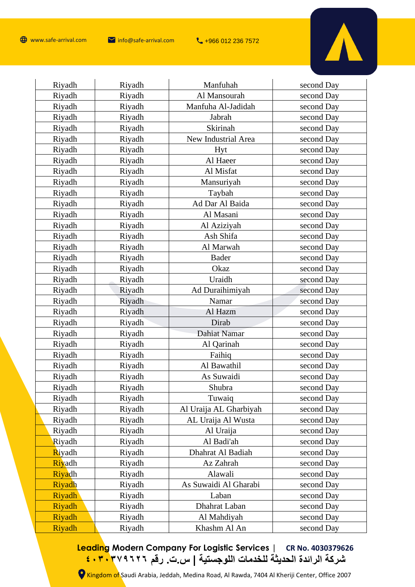

 $\mathbf{r}$ 

| Riyadh        | Riyadh | Manfuhah               | second Day |
|---------------|--------|------------------------|------------|
| Riyadh        | Riyadh | Al Mansourah           | second Day |
| Riyadh        | Riyadh | Manfuha Al-Jadidah     | second Day |
| Riyadh        | Riyadh | Jabrah                 | second Day |
| Riyadh        | Riyadh | Skirinah               | second Day |
| Riyadh        | Riyadh | New Industrial Area    | second Day |
| Riyadh        | Riyadh | Hyt                    | second Day |
| Riyadh        | Riyadh | Al Haeer               | second Day |
| Riyadh        | Riyadh | Al Misfat              | second Day |
| Riyadh        | Riyadh | Mansuriyah             | second Day |
| Riyadh        | Riyadh | Taybah                 | second Day |
| Riyadh        | Riyadh | Ad Dar Al Baida        | second Day |
| Riyadh        | Riyadh | Al Masani              | second Day |
| Riyadh        | Riyadh | Al Aziziyah            | second Day |
| Riyadh        | Riyadh | Ash Shifa              | second Day |
| Riyadh        | Riyadh | Al Marwah              | second Day |
| Riyadh        | Riyadh | <b>Bader</b>           | second Day |
| Riyadh        | Riyadh | Okaz                   | second Day |
| Riyadh        | Riyadh | Uraidh                 | second Day |
| Riyadh        | Riyadh | Ad Duraihimiyah        | second Day |
| Riyadh        | Riyadh | Namar                  | second Day |
| Riyadh        | Riyadh | Al Hazm                | second Day |
| Riyadh        | Riyadh | Dirab                  | second Day |
| Riyadh        | Riyadh | Dahiat Namar           | second Day |
| Riyadh        | Riyadh | Al Qarinah             | second Day |
| Riyadh        | Riyadh | Faihiq                 | second Day |
| Riyadh        | Riyadh | Al Bawathil            | second Day |
| Riyadh        | Riyadh | As Suwaidi             | second Day |
| Riyadh        | Riyadh | Shubra                 | second Day |
| Riyadh        | Riyadh | Tuwaiq                 | second Day |
| Riyadh        | Riyadh | Al Uraija AL Gharbiyah | second Day |
| Riyadh        | Riyadh | AL Uraija Al Wusta     | second Day |
| Riyadh        | Riyadh | Al Uraija              | second Day |
| Riyadh        | Riyadh | Al Badi'ah             | second Day |
| Riyadh        | Riyadh | Dhahrat Al Badiah      | second Day |
| Riyadh        | Riyadh | Az Zahrah              | second Day |
| Riyadh        | Riyadh | Alawali                | second Day |
| Riyadh        | Riyadh | As Suwaidi Al Gharabi  | second Day |
| <b>Riyadh</b> | Riyadh | Laban                  | second Day |
| Riyadh        | Riyadh | Dhahrat Laban          | second Day |
| Riyadh        | Riyadh | Al Mahdiyah            | second Day |
| Riyadh        | Riyadh | Khashm Al An           | second Day |

**Leading Modern Company For Logistic Services | CR No. 4030379626 شركة الرائدة الحديثة للخدمات اللوجستية | س.ت. رقم ٤٠٣٠٣٧٩٦٢٦**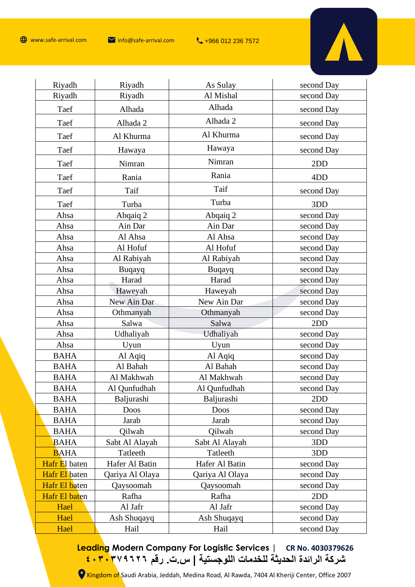

| Riyadh        | Riyadh          | As Sulay        | second Day      |
|---------------|-----------------|-----------------|-----------------|
| Riyadh        | Riyadh          | Al Mishal       | second Day      |
| Taef          | Alhada          | Alhada          | second Day      |
| Taef          | Alhada 2        | Alhada 2        | second Day      |
| Taef          | Al Khurma       | Al Khurma       | second Day      |
| Taef          | Hawaya          | Hawaya          | second Day      |
| Taef          | Nimran          | Nimran          | 2DD             |
| Taef          | Rania           | Rania           | 4D <sub>D</sub> |
| Taef          | Taif            | Taif            | second Day      |
| Taef          | Turba           | Turba           | 3DD             |
| Ahsa          | Abqaiq 2        | Abqaiq 2        | second Day      |
| Ahsa          | Ain Dar         | Ain Dar         | second Day      |
| Ahsa          | Al Ahsa         | Al Ahsa         | second Day      |
| Ahsa          | Al Hofuf        | Al Hofuf        | second Day      |
| Ahsa          | Al Rabiyah      | Al Rabiyah      | second Day      |
| Ahsa          | <b>Buqayq</b>   | <b>Buqayq</b>   | second Day      |
| Ahsa          | Harad           | Harad           | second Day      |
| Ahsa          | Haweyah         | Haweyah         | second Day      |
| Ahsa          | New Ain Dar     | New Ain Dar     | second Day      |
| Ahsa          | Othmanyah       | Othmanyah       | second Day      |
| Ahsa          | Salwa           | Salwa           | 2DD             |
| Ahsa          | Udhaliyah       | Udhaliyah       | second Day      |
| Ahsa          | Uyun            | Uyun            | second Day      |
| <b>BAHA</b>   | Al Aqiq         | Al Aqiq         | second Day      |
| <b>BAHA</b>   | Al Bahah        | Al Bahah        | second Day      |
| <b>BAHA</b>   | Al Makhwah      | Al Makhwah      | second Day      |
| <b>BAHA</b>   | Al Qunfudhah    | Al Qunfudhah    | second Day      |
| <b>BAHA</b>   | Baljurashi      | Baljurashi      | 2DD             |
| <b>BAHA</b>   | Doos            | Doos            | second Day      |
| <b>BAHA</b>   | Jarab           | Jarab           | second Day      |
| <b>BAHA</b>   | Qilwah          | Qilwah          | second Day      |
| <b>BAHA</b>   | Sabt Al Alayah  | Sabt Al Alayah  | 3DD             |
| <b>BAHA</b>   | Tatleeth        | Tatleeth        | 3DD             |
| Hafr El baten | Hafer Al Batin  | Hafer Al Batin  | second Day      |
| Hafr El baten | Qariya Al Olaya | Qariya Al Olaya | second Day      |
| Hafr El baten | Qaysoomah       | Qaysoomah       | second Day      |
| Hafr El baten | Rafha           | Rafha           | 2DD             |
| Hael          | Al Jafr         | Al Jafr         | second Day      |
| Hael          | Ash Shuqayq     | Ash Shuqayq     | second Day      |
| Hael          | Hail            | Hail            | second Day      |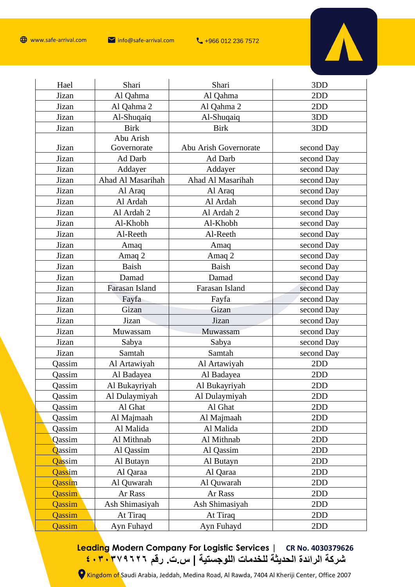

| Hael          | Shari             | Shari                 | 3DD        |
|---------------|-------------------|-----------------------|------------|
| Jizan         | Al Qahma          | Al Qahma              | 2DD        |
| Jizan         | Al Qahma 2        | Al Qahma 2            | 2DD        |
| Jizan         | Al-Shuqaiq        | Al-Shuqaiq            | 3DD        |
| Jizan         | <b>Birk</b>       | <b>Birk</b>           | 3DD        |
|               | Abu Arish         |                       |            |
| Jizan         | Governorate       | Abu Arish Governorate | second Day |
| Jizan         | Ad Darb           | Ad Darb               | second Day |
| Jizan         | Addayer           | Addayer               | second Day |
| Jizan         | Ahad Al Masarihah | Ahad Al Masarihah     | second Day |
| Jizan         | Al Araq           | Al Araq               | second Day |
| Jizan         | Al Ardah          | Al Ardah              | second Day |
| Jizan         | Al Ardah 2        | Al Ardah 2            | second Day |
| Jizan         | Al-Khobh          | Al-Khobh              | second Day |
| Jizan         | Al-Reeth          | Al-Reeth              | second Day |
| Jizan         | Amaq              | Amaq                  | second Day |
| Jizan         | Amaq 2            | Amaq 2                | second Day |
| Jizan         | <b>Baish</b>      | <b>Baish</b>          | second Day |
| Jizan         | Damad             | Damad                 | second Day |
| Jizan         | Farasan Island    | Farasan Island        | second Day |
| Jizan         | Fayfa             | Fayfa                 | second Day |
| Jizan         | Gizan             | Gizan                 | second Day |
| Jizan         | Jizan             | Jizan                 | second Day |
| Jizan         | Muwassam          | Muwassam              | second Day |
| Jizan         | Sabya             | Sabya                 | second Day |
| Jizan         | Samtah            | Samtah                | second Day |
| Qassim        | Al Artawiyah      | Al Artawiyah          | 2DD        |
| Qassim        | Al Badayea        | Al Badayea            | 2DD        |
| Qassim        | Al Bukayriyah     | Al Bukayriyah         | 2DD        |
| Qassim        | Al Dulaymiyah     | Al Dulaymiyah         | 2DD        |
| Qassim        | Al Ghat           | Al Ghat               | 2DD        |
| Qassim        | Al Majmaah        | Al Majmaah            | 2DD        |
| Qassim        | Al Malida         | Al Malida             | 2DD        |
| Qassim        | Al Mithnab        | Al Mithnab            | 2DD        |
| Qassim        | Al Qassim         | Al Qassim             | 2DD        |
| <b>Qassim</b> | Al Butayn         | Al Butayn             | 2DD        |
| Qassim        | Al Qaraa          | Al Qaraa              | 2DD        |
| Qassim        | Al Quwarah        | Al Quwarah            | 2DD        |
| Qassim        | Ar Rass           | Ar Rass               | 2DD        |
| Qassim        | Ash Shimasiyah    | Ash Shimasiyah        | 2DD        |
| Qassim        | At Tiraq          | At Tiraq              | 2DD        |
| Qassim        | Ayn Fuhayd        | Ayn Fuhayd            | 2DD        |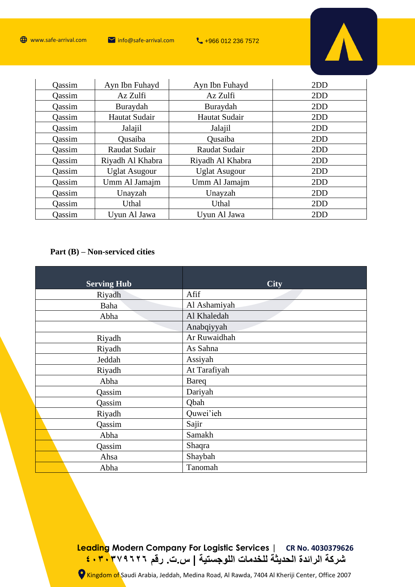

| Oassim        | Ayn Ibn Fuhayd       | Ayn Ibn Fuhayd       | 2DD |
|---------------|----------------------|----------------------|-----|
| Oassim        | Az Zulfi             | Az Zulfi             | 2DD |
| Oassim        | Buraydah             | Buraydah             | 2DD |
| Oassim        | Hautat Sudair        | Hautat Sudair        | 2DD |
| Oassim        | Jalajil              | Jalajil              | 2DD |
| Oassim        | Qusaiba              | Qusaiba              | 2DD |
| Qassim        | Raudat Sudair        | Raudat Sudair        | 2DD |
| Oassim        | Riyadh Al Khabra     | Riyadh Al Khabra     | 2DD |
| <b>Qassim</b> | <b>Uglat Asugour</b> | <b>Uglat Asugour</b> | 2DD |
| Qassim        | Umm Al Jamajm        | Umm Al Jamajm        | 2DD |
| Qassim        | Unayzah              | Unayzah              | 2DD |
| <b>Qassim</b> | Uthal                | Uthal                | 2DD |
| Qassim        | Uyun Al Jawa         | Uyun Al Jawa         | 2DD |

# **Part (B) – Non-serviced cities**

| <b>Serving Hub</b> | <b>City</b>  |
|--------------------|--------------|
| Riyadh             | Afif         |
| Baha               | Al Ashamiyah |
| Abha               | Al Khaledah  |
|                    | Anabqiyyah   |
| Riyadh             | Ar Ruwaidhah |
| Riyadh             | As Sahna     |
| Jeddah             | Assiyah      |
| Riyadh             | At Tarafiyah |
| Abha               | <b>Bareq</b> |
| Qassim             | Dariyah      |
| Qassim             | Qbah         |
| Riyadh             | Quwei'ieh    |
| Qassim             | Sajir        |
| Abha               | Samakh       |
| Qassim             | Shaqra       |
| Ahsa               | Shaybah      |
| Abha               | Tanomah      |

# **Leading Modern Company For Logistic Services | CR No. 4030379626 شركة الرائدة الحديثة للخدمات اللوجستية | س.ت. رقم ٤٠٣٠٣٧٩٦٢٦**